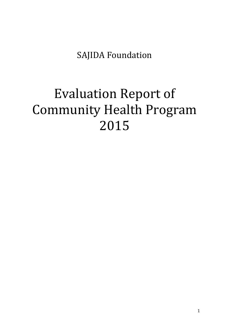SAJIDA Foundation

# Evaluation Report of Community Health Program 2015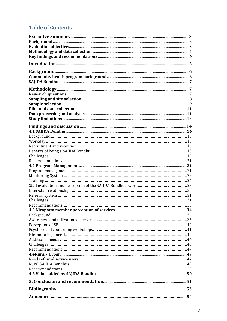# **Table of Contents**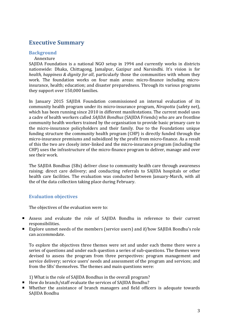# **Executive Summary**

#### **Background**

#### Annexture

SAJIDA Foundation is a national NGO setup in 1994 and currently works in districts nationwide: Dhaka, Chittagong, Jamalpur, Gazipur and Narsindhi. It's vision is for *health, happiness & dignity for all*, particularly those the communities with whom they work. The foundation works on four main areas: micro-finance including microinsurance, health; education; and disaster preparedness. Through its various programs they support over 150,000 families.

In January 2015 SAJIDA Foundation commissioned an internal evaluation of its community health program under its micro-insurance program, *Nirapotta* (safety net), which has been running since 2010 in different manifestations. The current model uses a cadre of health workers called *SAJIDA Bondhus* (SAJIDA Friends) who are are frontline community health workers trained by the organisation to provide basic primary care to the micro-insurance policyholders and their family. Due to the Foundations unique funding structure the community health program (CHP) is directly funded through the micro-insurance premiums and subsidized by the profit from micro-finance. As a result of this the two are closely inter-linked and the micro-insurance program (including the CHP) uses the infrastructure of the micro-finance program to deliver, manage and over see their work.

The SAJIDA Bondhus (SBs) deliver close to community health care through awareness raising; direct care delivery; and conducting referrals to SAJIDA hospitals or other health care facilities. The evaluation was conducted between January-March, with all the of the data collection taking place during February.

#### **Evaluation objectives**

The objectives of the evaluation were to:

- Assess and evaluate the role of SAJIDA Bondhu in reference to their current responsibilities.
- Explore unmet needs of the members (service users) and if/how SAJIDA Bondhu's role can accommodate.

To explore the objectives three themes were set and under each theme there were a series of questions and under each question a series of sub-questions. The themes were devised to assess the program from three perspectives: program management and service delivery; service users' needs and assessment of the program and services; and from the SBs' themselves. The themes and main questions were:

1) What is the role of SAJIDA Bondhus in the overall program?

- How do branch/staff evaluate the services of SAJIDA Bondhu?
- Whether the assistance of branch managers and field officers is adequate towards SAJIDA Bondhu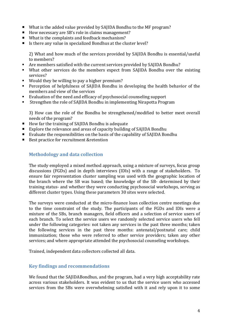- What is the added value provided by SAJIDA Bondhu to the MF program?
- $\blacksquare$  How necessary are SB's role in claims management?
- What is the complaints and feedback mechanism?
- Is there any value in specialized Bondhus at the cluster level?

2) What and how much of the services provided by SAJIDA Bondhu is essential/useful to members?

- Are members satisfied with the current services provided by SAJIDA Bondhu?
- What other services do the members expect from SAJIDA Bondhu over the existing services?
- Would they be willing to pay a higher premium?
- Perception of helpfulness of SAJIDA Bondhu in developing the health behavior of the members and view of the services
- Evaluation of the need and efficacy of psychosocial counseling support
- Strengthen the role of SAJIDA Bondhu in implementing Nirapotta Program

3) How can the role of the Bondhu be strengthened/modified to better meet overall needs of the program?

- How far the training of SAJIDA Bondhu is adequate
- Explore the relevance and areas of capacity building of SAJIDA Bondhu
- Evaluate the responsibilities on the basis of the capability of SAJIDA Bondhu
- Best practice for recruitment &retention

# **Methodology and data collection**

The study employed a mixed method approach, using a mixture of surveys, focus group discussions (FGDs) and in depth interviews (IDIs) with a range of stakeholders. To ensure fair representation cluster sampling was used with the geographic location of the branch where the SB was based; the knowledge of the SB- determined by their training status- and whether they were conducting psychosocial workshops, serving as different cluster types. Using these parameters 30 sites were selected.

The surveys were conducted at the micro-finance loan collection centre meetings due to the time constraint of the study. The participants of the FGDs and IDIs were a mixture of the SBs, branch managers, field officers and a selection of service users of each branch. To select the service users we randomly selected service users who fell under the following categories: not taken any services in the past three months; taken the following services in the past three months: antenatal/postnatal care; child immunization; those who were referred to other service providers; taken any other services; and where appropriate attended the psychosocial counseling workshops.

Trained, independent data collectors collected all data.

# **Key findings and recommendations**

We found that the SAJIDABondhus, and the program, had a very high acceptability rate across various stakeholders. It was evident to us that the service users who accessed services from the SBs were overwhelming satisfied with it and rely upon it to some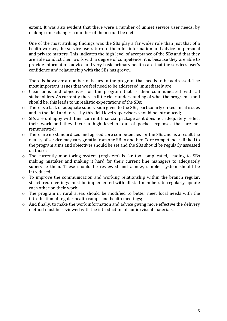extent. It was also evident that there were a number of unmet service user needs, by making some changes a number of them could be met.

One of the most striking findings was the SBs play a far wider role than just that of a health worker, the service users turn to them for information and advice on personal and private matters. This indicates the high level of acceptance of the SBs and that they are able conduct their work with a degree of competence; it is because they are able to provide information, advice and very basic primary health care that the services user's confidence and relationship with the SBs has grown.

There is however a number of issues in the program that needs to be addressed. The most important issues that we feel need to be addressed immediately are:

- o Clear aims and objectives for the program that is then communicated with all stakeholders. As currently there is little clear understanding of what the program is and should be, this leads to unrealistic expectations of the SBs;
- o There is a lack of adequate supervision given to the SBs, particularly on technical issues and in the field and to rectify this field level supervisors should be introduced;
- o SBs are unhappy with their current financial package as it does not adequately reflect their work and they incur a high level of out of pocket expenses that are not remunerated;
- o There are no standardized and agreed core competencies for the SBs and as a result the quality of service may vary greatly from one SB to another. Core competencies linked to the program aims and objectives should be set and the SBs should be regularly assessed on those;
- o The currently monitoring system (registers) is far too complicated, leading to SBs making mistakes and making it hard for their current line managers to adequately supervise them. These should be reviewed and a new, simpler system should be introduced;
- o To improve the communication and working relationship within the branch regular, structured meetings must be implemented with all staff members to regularly update each other on their work;
- o The program in rural areas should be modified to better meet local needs with the introduction of regular health camps and health meetings;
- o And finally, to make the work information and advice giving more effective the delivery method must be reviewed with the introduction of audio/visual materials.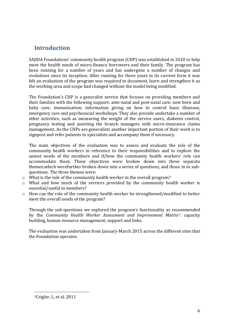# **Introduction**

SAJIDA Foundations' community health program (CHP) was established in 2010 to help meet the health needs of micro-finance borrowers and their family. The program has been running for a number of years and has undergone a number of changes and evolutions since its inception. After running for three years in its current form it was felt an evaluation of the program was required to document, learn and strengthen it as the working area and scope had changed without the model being modified.

The Foundation's CHP is a generalist service that focuses on providing members and their families with the following support: ante-natal and post-natal care; new born and baby care; immunization; information giving on how to control basic illnesses, emergency care and psychosocial workshops. They also provide undertake a number of other activities, such as measuring the weight of the service users, diabetes control, pregnancy testing and assisting the branch managers with micro-insurance claims management. As the CHPs are generalists another important portion of their work is to signpost and refer patients to specialists and accompany them if necessary.

The main objectives of the evaluation was to assess and evaluate the role of the community health workers in reference to their responsibilities and to explore the unmet needs of the members and if/how the community health workers' role can accommodate them. These objectives were broken down into three separate themes,which werefurther broken down into a series of questions, and those in to subquestions. The three themes were:

- o What is the role of the community health worker in the overall program?
- o What and how much of the services provided by the community health worker is essential/useful to members?
- o How can the role of the community health worker be strengthened/modified to better meet the overall needs of the program?

Through the sub-questions we explored the program's functionality as recommended by the *Community Health Worker Assessment and Improvement Matrix1:* capacity building, human resource management, support and links.

The evaluation was undertaken from January-March 2015 across the different sites that the Foundation operates.

 $\overline{a}$ 

<sup>1</sup>Crigler, L, et al. 2011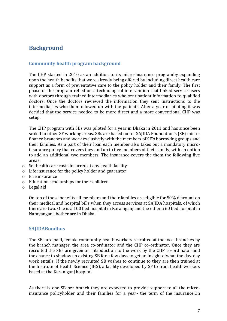# **Background**

# **Community health program background**

The CHP started in 2010 as an addition to its micro-insurance programby expanding upon the health benefits that were already being offered by including direct health care support as a form of preventative care to the policy holder and their family. The first phase of the program relied on a technological intervention that linked service users with doctors through trained intermediaries who sent patient information to qualified doctors. Once the doctors reviewed the information they sent instructions to the intermediaries who then followed up with the patients. After a year of piloting it was decided that the service needed to be more direct and a more conventional CHP was setup.

The CHP program with SBs was piloted for a year in Dhaka in 2011 and has since been scaled to other SF working areas. SBs are based out of SAJIDA Foundation's (SF) microfinance branches and work exclusively with the members of SF's borrowing groups and their families. As a part of their loan each member also takes out a mandatory microinsurance policy that covers they and up to five members of their family, with an option to add an additional two members. The insurance covers the them the following five areas:

- o Set health care costs incurred at any health facility
- o Life insurance for the policy holder and guarantor
- o Fire insurance
- o Education scholarships for their children
- o Legal aid

On top of these benefits all members and their families are eligible for 50% discount on their medical and hospital bills when they access services at SAJIDA hospitals, of which there are two. One is a 100 bed hospital in Karaniganj and the other a 60 bed hospital in Narayanganj, bother are in Dhaka.

#### **SAJIDABondhus**

The SBs are paid, female community health workers recruited at the local branches by the branch manager, the area co-ordinator and the CHP co-ordinator. Once they are recruited the SBs are given an introduction to the work by the CHP co-ordinator and the chance to shadow an existing SB for a few days to get an insight ofwhat the day-day work entails. If the newly recruited SB wishes to continue to they are then trained at the Institute of Health Science (IHS), a facility developed by SF to train health workers based at the Karaniganj hospital.

As there is one SB per branch they are expected to provide support to all the microinsurance policyholder and their families for a year- the term of the insurance.On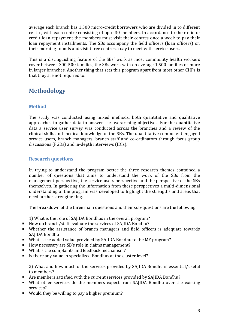average each branch has 1,500 micro-credit borrowers who are divided in to different centre, with each centre consisting of upto 30 members. In accordance to their microcredit loan repayment the members must visit their centres once a week to pay their loan repayment installments. The SBs accompany the field officers (loan officers) on their morning rounds and visit three centres a day to meet with service users.

This is a distinguishing feature of the SBs' work as most community health workers cover between 300-500 families, the SBs work with on average 1,500 families or more in larger branches. Another thing that sets this program apart from most other CHPs is that they are not required to.

# **Methodology**

# **Method**

The study was conducted using mixed methods, both quantitative and qualitative approaches to gather data to answer the overarching objectives. For the quantitative data a service user survey was conducted across the branches and a review of the clinical skills and medical knowledge of the SBs. The quantitative component engaged service users, branch managers, branch staff and co-ordinators through focus group discussions (FGDs) and in-depth interviews (IDIs).

# **Research questions**

In trying to understand the program better the three research themes contained a number of questions that aims to understand the work of the SBs from the management perspective, the service users perspective and the perspective of the SBs themselves. In gathering the information from these perspectives a multi-dimensional understanding of the program was developed to highlight the strengths and areas that need further strengthening.

The breakdown of the three main questions and their sub-questions are the following:

1) What is the role of SAJIDA Bondhus in the overall program?

- How do branch/staff evaluate the services of SAIIDA Bondhu?
- Whether the assistance of branch managers and field officers is adequate towards SAJIDA Bondhu
- What is the added value provided by SAJIDA Bondhu to the MF program?
- $\blacksquare$  How necessary are SB's role in claims management?
- What is the complaints and feedback mechanism?
- Is there any value in specialized Bondhus at the cluster level?

2) What and how much of the services provided by SAJIDA Bondhu is essential/useful to members?

- Are members satisfied with the current services provided by SAJIDA Bondhu?
- What other services do the members expect from SAJIDA Bondhu over the existing services?
- Would they be willing to pay a higher premium?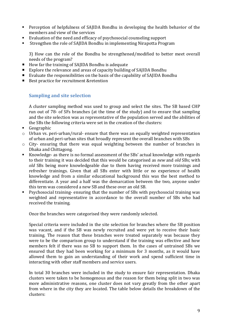- Perception of helpfulness of SAJIDA Bondhu in developing the health behavior of the members and view of the services
- Evaluation of the need and efficacy of psychosocial counseling support
- Strengthen the role of SAJIDA Bondhu in implementing Nirapotta Program

3) How can the role of the Bondhu be strengthened/modified to better meet overall needs of the program?

- How far the training of SAJIDA Bondhu is adequate
- Explore the relevance and areas of capacity building of SAJIDA Bondhu
- Evaluate the responsibilities on the basis of the capability of SAJIDA Bondhu
- Best practice for recruitment &retention

# **Sampling and site selection**

A cluster sampling method was used to group and select the sites. The SB based CHP run out of 78- of SFs branches (at the time of the study) and to ensure that sampling and the site selection was as representative of the population served and the abilities of the SBs the following criteria were set in the creation of the clusters:

- **Geographic**
- o Urban vs. peri-urban/rural- ensure that there was an equally weighted representation of urban and peri-urban sites that broadly represent the overall branches with SBs
- o City- ensuring that there was equal weighting between the number of branches in Dhaka and Chittagong.
- Knowledge- as there is no formal assessment of the SBs' actual knowledge with regards to their training it was decided that this would be categorised as *new* and *old* SBs; with *old* SBs being more knowledgeable due to them having received more trainings and refresher trainings. Given that all SBs enter with little or no experience of health knowledge and from a similar educational background this was the best method to differentiate. A year and a half was the demarcation between the two, anyone under this term was considered a new SB and these over an old SB.
- Psychosocial training- ensuring that the number of SBs with psychosocial training was weighted and representative in accordance to the overall number of SBs who had received the training.

Once the branches were categorised they were randomly selected.

Special criteria were included in the site selection for branches where the SB position was vacant, and if the SB was newly recruited and were yet to receive their basic training. The reason that these branches were treated separately was because they were to be the comparison group to understand if the training was effective and how members felt if there was no SB to support them. In the cases of untrained SBs we ensured that they had been working for a minimum for 3 months, as it would have allowed them to gain an understanding of their work and spend sufficient time in interacting with other staff members and service users.

In total 30 branches were included in the study to ensure fair representation. Dhaka clusters were taken to be homogenous and the reason for them being split in two was more administrative reasons, one cluster does not vary greatly from the other apart from where in the city they are located. The table below details the breakdown of the clusters: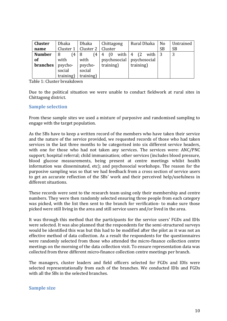| Cluster       | <b>Dhaka</b> | Dhaka                           | Chittagong        | Rural Dhaka                 | No        | Untrained |
|---------------|--------------|---------------------------------|-------------------|-----------------------------|-----------|-----------|
| name          |              | Cluster 1   Cluster 2   Cluster |                   |                             | <b>SB</b> | <b>SB</b> |
| <b>Number</b> | (4)<br>8     | (4)<br>-8                       | with $ 4$<br>4(0) | with $ 3$<br>(2)            |           |           |
| of            | with         | with                            |                   | psychosocial   psychosocial |           |           |
| branches      | psycho-      | psycho-                         | training)         | training)                   |           |           |
|               | social       | social                          |                   |                             |           |           |
|               | training)    | training)                       |                   |                             |           |           |

Table 1: Cluster breakdown

Due to the political situation we were unable to conduct fieldwork at rural sites in Chittagong district.

## **Sample selection**

From these sample sites we used a mixture of purposive and randomised sampling to engage with the target population.

As the SBs have to keep a written record of the members who have taken their service and the nature of the service provided, we requested records of those who had taken services in the last three months to be categorised into six different service headers, with one for those who had not taken any services. The services were: ANC/PNC support; hospital referral; child immunisation; other services (includes blood pressure, blood glucose measurements, being present at centre meetings whilst health information was disseminated, etc); and psychosocial workshops. The reason for the purposive sampling was so that we had feedback from a cross section of service users to get an accurate reflection of the SBs' work and their perceived help/usefulness in different situations.

These records were sent to the research team using only their membership and centre numbers. They were then randomly selected ensuring three people from each category was picked, with the list then sent to the branch for verification- to make sure those picked were still living in the area and still service users and/or lived in the area.

It was through this method that the participants for the service users' FGDs and IDIs were selected. It was also planned that the respondents for the semi-structured surveys would be identified this was but this had to be modified after the pilot as it was not an effective method of data collection. As a result the respondents for the questionnaires were randomly selected from those who attended the micro-finance collection centre meetings on the morning of the data collection visit. To ensure representation data was collected from three different micro-finance collection centre meetings per branch.

The managers, cluster leaders and field officers selected for FGDs and IDIs were selected representationally from each of the branches. We conducted IDIs and FGDs with all the SBs in the selected branches.

#### **Sample size**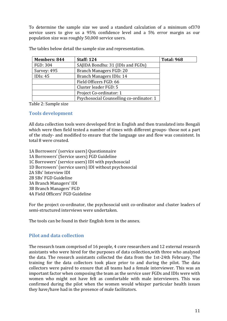To determine the sample size we used a standard calculation of a minimum of370 service users to give us a 95% confidence level and a 5% error margin as our population size was roughly 50,000 service users.

| <b>Members: 844</b> | <b>Staff: 124</b>                        | <b>Total: 968</b> |
|---------------------|------------------------------------------|-------------------|
| FGD: 304            | SAJIDA Bondhu: 31 (IDIs and FGDs)        |                   |
| Survey: 495         | Branch Managers FGD: 20                  |                   |
| IDI $s: 45$         | Branch Managers IDIs: 14                 |                   |
|                     | Field Officers FGD: 66                   |                   |
|                     | Cluster leader FGD: 5                    |                   |
|                     | Project Co-ordinator: 1                  |                   |
|                     | Psychosocial Counselling co-ordinator: 1 |                   |

The tables below detail the sample size and representation.

Table 2: Sample size

#### **Tools development**

All data collection tools were developed first in English and then translated into Bengali which were then field tested a number of times with different groups- those not a part of the study- and modified to ensure that the language use and flow was consistent. In total 8 were created.

1A Borrowers' (service users) Questionnaire 1A Borrowers' (Service users) FGD Guideline 1C Borrowers' (service users) IDI with psychosocial 1D Borrowers' (service users) IDI without psychosocial 2A SBs' Interview IDI 2B SBs' FGD Guideline 3A Branch Managers' IDI 3B Branch Managers' FGD ͶA Field Officers' FGD Guideline

For the project co-ordinator, the psychosocial unit co-ordinator and cluster leaders of semi-structured interviews were undertaken.

The tools can be found in their English form in the annex.

# **Pilot and data collection**

The research team comprised of 16 people, 4 core researchers and 12 external research assistants who were hired for the purposes of data collection,with three who analysed the data. The research assistants collected the data from the 1st-24th February. The training for the data collectors took place prior to and during the pilot. The data collectors were paired to ensure that all teams had a female interviewer. This was an important factor when composing the team as the service user FGDs and IDIs were with women who might not have felt as comfortable with male interviewers. This was confirmed during the pilot when the women would whisper particular health issues they have/have had in the presence of male facilitators.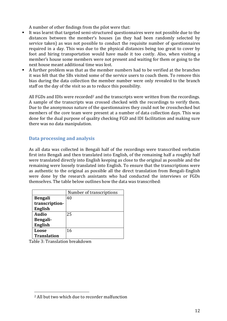A number of other findings from the pilot were that:

- It was learnt that targeted semi-structured questionnaires were not possible due to the distances between the member's houses (as they had been randomly selected by service taken) as was not possible to conduct the requisite number of questionnaires required in a day. This was due to the physical distances being too great to cover by foot and hiring transportation would have made it too costly. Also, when visiting a member's house some members were not present and waiting for them or going to the next house meant additional time was lost.
- A further problem was that as the member numbers had to be verified at the branches it was felt that the SBs visited some of the service users to coach them. To remove this bias during the data collection the member number were only revealed to the branch staff on the day of the visit so as to reduce this possibility.

All FGDs and IDIs were recorded<sup>2</sup> and the transcripts were written from the recordings. A sample of the transcripts was crossed checked with the recordings to verify them. Due to the anonymous nature of the questionnaires they could not be crosschecked but members of the core team were present at a number of data collection days. This was done for the dual purpose of quality checking FGD and IDI facilitation and making sure there was no data manipulation.

# **Data processing and analysis**

As all data was collected in Bengali half of the recordings were transcribed verbatim first into Bengali and then translated into English, of the remaining half a roughly half were translated directly into English keeping as close to the original as possible and the remaining were loosely translated into English. To ensure that the transcriptions were as authentic to the original as possible all the direct translation from Bengali-English were done by the research assistants who had conducted the interviews or FGDs themselves. The table below outlines how the data was transcribed:

|                    | Number of transcriptions |
|--------------------|--------------------------|
| <b>Bengali</b>     | 40                       |
| transcription-     |                          |
| <b>English</b>     |                          |
| <b>Audio</b>       | 25                       |
| Bengali-           |                          |
| <b>English</b>     |                          |
| Loose              | 16                       |
| <b>Translation</b> |                          |

Table 3: Translation breakdown

 $\overline{a}$ 2 All but two which due to recorder malfunction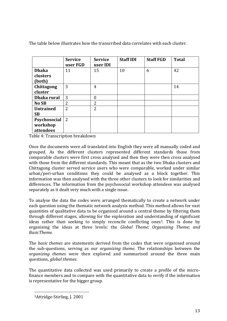|                   | <b>Service</b><br>user FGD | <b>Service</b><br>user IDI | <b>Staff IDI</b> | <b>Staff FGD</b> | <b>Total</b> |
|-------------------|----------------------------|----------------------------|------------------|------------------|--------------|
| <b>Dhaka</b>      | 11                         | 15                         | 10               | 6                | 42           |
| clusters          |                            |                            |                  |                  |              |
| (both)            |                            |                            |                  |                  |              |
| <b>Chittagong</b> | 3                          | 4                          |                  |                  | 14           |
| cluster           |                            |                            |                  |                  |              |
| Dhaka rural       | 3                          | $\overline{0}$             |                  |                  |              |
| No SB             | 2                          | 2                          |                  |                  |              |
| <b>Untrained</b>  | $\overline{2}$             | $\overline{2}$             |                  |                  |              |
| <b>SB</b>         |                            |                            |                  |                  |              |
| Psychosocial      | 2                          |                            |                  |                  |              |
| workshop          |                            |                            |                  |                  |              |
| attendees         |                            |                            |                  |                  |              |

The table below illustrates how the transcribed data correlates with each cluster.

Table 4: Transcription breakdown

Once the documents were all translated into English they were all manually coded and grouped. As the different clusters represented different standards those from comparable clusters were first cross analysed and then they were then cross analysed with those from the different standards. This meant that as the two Dhaka clusters and Chittagong cluster served service users who were comparable, worked under similar urban/peri-urban conditions they could be analysed as a block together. This information was then analysed with the three other clusters to look for similarities and differences. The information from the psychosocial workshop attendees was analysed separately as it dealt very much with a single issue.

To analyse the data the codes were arranged thematically to create a network under each question using the thematic network analysis method. This method allows for vast quantities of qualitative data to be organised around a central theme by filtering them through different stages, allowing for the exploration and understanding of significant ideas rather than seeking to simply reconcile conflicting ones<sup>3</sup>. This is done by organising the ideas at three levels: the *Global Theme; Organizing Theme; and BasicTheme.* 

The *basic themes* are statements derived from the codes that were organised around the sub-questions, serving as our *organizing theme*. The relationships between the *organizing themes* were then explored and summarised around the three main questions, *global themes*.

The quantitative data collected was used primarily to create a profile of the microfinance members and to compare with the quantitative data to verify if the information is representative for the bigger group.

 $\overline{a}$ 

<sup>3</sup>Attridge-Stirling, J. 2001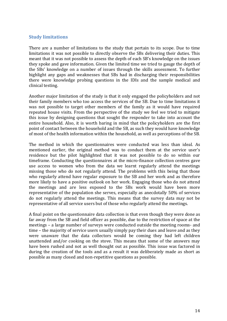# **Study limitations**

There are a number of limitations to the study that pertain to its scope. Due to time limitations it was not possible to directly observe the SBs delivering their duties. This meant that it was not possible to assess the depth of each SB's knowledge on the issues they spoke and gave information. Given the limited time we tried to gauge the depth of the SBs' knowledge on a number of issues through the skills assessment. To further highlight any gaps and weaknesses that SBs had in discharging their responsibilities there were knowledge probing questions in the IDIs and the sample medical and clinical testing.

Another major limitation of the study is that it only engaged the policyholders and not their family members who too access the services of the SB. Due to time limitations it was not possible to target other members of the family as it would have required repeated house visits. From the perspective of the study we feel we tried to mitigate this issue by designing questions that sought the responder to take into account the entire household. Also, it is worth baring in mind that the policyholders are the first point of contact between the household and the SB, as such they would have knowledge of most of the health information within the household, as well as perceptions of the SB.

The method in which the questionnaires were conducted was less than ideal. As mentioned earlier, the original method was to conduct them at the service user's residence but the pilot highlighted that it was not possible to do so within our timeframe. Conducting the questionnaires at the micro-finance collection centres gave use access to women who from the data we learnt regularly attend the meetings missing those who do not regularly attend. The problems with this being that those who regularly attend have regular exposure to the SB and her work and as therefore more likely to have a positive outlook on her work. Engaging those who do not attend the meetings and are less exposed to the SBs work would have been more representative of the population she serves, especially as anecdotally 50% of services do not regularly attend the meetings. This means that the survey data may not be representative of all service users but of those who regularly attend the meetings.

A final point on the questionnaire data collection is that even though they were done as far away from the SB and field officer as possible, due to the restriction of space at the meetings – a large number of surveys were conducted outside the meeting rooms- and time – the majority of service users usually simply pay their dues and leave and as they were unaware that the data collectors would be coming they had left children unattended and/or cooking on the stove. This means that some of the answers may have been rushed and not as well thought out as possible. This issue was factored in during the creation of the tools and as a result it was deliberately made as short as possible as many closed and non-repetitive questions as possible.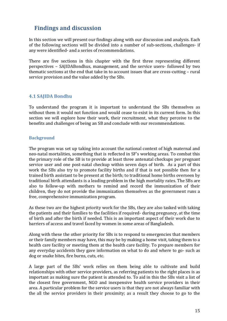# **Findings and discussion**

In this section we will present our findings along with our discussion and analysis. Each of the following sections will be divided into a number of sub-sections, challenges- if any were identified- and a series of recommendations.

There are five sections in this chapter with the first three representing different perspectives – SAJIDABondhus, management, and the service users- followed by two thematic sections at the end that take in to account issues that are cross-cutting – rural service provision and the value added by the SBs.

# **4.1 SAJIDA Bondhu**

To understand the program it is important to understand the SBs themselves as without them it would not function and would cease to exist in its current form. In this section we will explore how their work, their recruitment, what they perceive to the benefits and challenges of being an SB and conclude with our recommendations.

## **Background**

The program was set up taking into account the national context of high maternal and neo-natal mortalities, something that is reflected in SF's working areas. To combat this the primary role of the SB is to provide at least three antenatal checkups per pregnant service user and one post-natal checkup within seven days of birth. As a part of this work the SBs also try to promote facility births and if that is not possible then for a trained birth assistant to be present at the birth; to traditional home births overseen by traditional birth attendants is a leading problem in the high mortality rates. The SBs are also to follow-up with mothers to remind and record the immunization of their children, they do not provide the immunization themselves as the government runs a free, comprehensive immunization program.

As these two are the highest priority work for the SBs, they are also tasked with taking the patients and their families to the facilities if required- during pregnancy, at the time of birth and after the birth if needed. This is an important aspect of their work due to barriers of access and travel faced by women in some areas of Bangladesh.

Along with these the other priority for SBs is to respond to emergencies that members or their family members may have, this may be by making a home visit, taking them to a health care facility or meeting them at the health care facility. To prepare members for any everyday accidents they gave information on what to do and where to go- such as dog or snake bites, fire burns, cuts, etc.

A large part of the SBs' work relies on them being able to cultivate and build relationships with other service providers, as referring patients to the right places is as important as making sure the patient is attended to. To aid in this the SBs visit a list of the closest free government, NGO and inexpensive health service providers in their area. A particular problem for the service users is that they are not always familiar with the all the service providers in their proximity; as a result they choose to go to the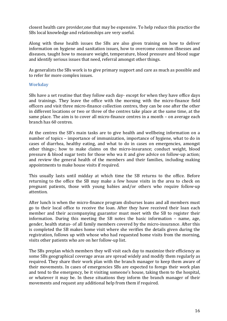closest health care provider,one that may be expensive. To help reduce this practice the SBs local knowledge and relationships are very useful.

Along with these health issues the SBs are also given training on how to deliver information on hygiene and sanitation issues, how to overcome common illnesses and diseases, taught how to measure weight, temperature, blood pressure and blood sugar and identify serious issues that need, referral amongst other things.

As generalists the SBs work is to give primary support and care as much as possible and to refer for more complex issues.

#### **Workday**

SBs have a set routine that they follow each day- except for when they have office days and trainings. They leave the office with the morning with the micro-finance field officers and visit three micro-finance collection centres, they can be one after the other in different locations or two or three of the centres take place at the same time, at the same place. The aim is to cover all micro-finance centres in a month – on average each branch has 60 centres.

At the centres the SB's main tasks are to give health and wellbeing information on a number of topics – importance of immunization, importance of hygiene, what to do in cases of diarrhea, healthy eating, and what to do in cases on emergencies, amongst other things-; how to make claims on the micro-insurance; conduct weight, blood pressure & blood sugar tests for those who wa it and give advice on follow-up action; and review the general health of the members and their families, including making appointments to make house visits if required.

This usually lasts until midday at which time the SB returns to the office. Before returning to the office the SB may make a few house visits in the area to check on pregnant patients, those with young babies and/or others who require follow-up attention.

After lunch is when the micro-finance program disburses loans and all members must go to their local office to receive the loan. After they have received their loan each member and their accompanying guarantor must meet with the SB to register their information. During this meeting the SB notes the basic information – name, age, gender, health status- of all family members covered by the micro-insurance. After this is completed the SB makes home visit where she verifies the details given during the registration, follows up with whose who had requested home visits from the morning, visits other patients who are on her follow-up list.

The SBs preplan which members they will visit each day to maximize their efficiency as some SBs geographical coverage areas are spread widely and modify them regularly as required. They share their work plan with the branch manager to keep them aware of their movements. In cases of emergencies SBs are expected to forego their work plan and tend to the emergency, be it visiting someone's house, taking them to the hospital, or whatever it may be. In these situations they inform the branch manager of their movements and request any additional help from them if required.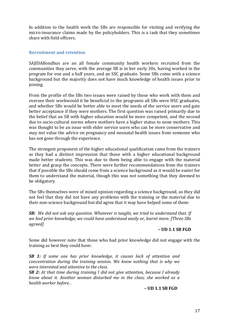In addition to the health work the SBs are responsible for visiting and verifying the micro-insurance claims made by the policyholders. This is a task that they sometimes share with field officers.

#### **Recruitment and retention**

SAJIDABondhus are an all female community health workers recruited from the communities they serve, with the average SB is in her early 30s, having worked in the program for one and a half years, and an SSC graduate. Some SBs come with a science background but the majority does not have much knowledge of health issues prior to joining.

From the profile of the SBs two issues were raised by those who work with them and oversee their workwould it be beneficial to the programis all SBs were HSC graduates, and whether SBs would be better able to meet the needs of the service users and gain better acceptance if they were mothers. The first question was raised primarily due to the belief that an SB with higher education would be more competent, and the second due to socio-cultural norms where mothers have a higher status to none mothers. This was thought to be an issue with elder service users who can be more conservative and may not value the advice on pregnancy and neonatal health issues from someone who has not gone through the experience.

The strongest proponent of the higher educational qualification came from the trainers as they had a distinct impression that those with a higher educational background made better students. This was due to them being able to engage with the material better and grasp the concepts. There were further recommendations from the trainers that if possible the SBs should come from a science background as it would be easier for them to understand the material, though this was not something that they deemed to be obligatory.

The SBs themselves were of mixed opinion regarding a science background, as they did not feel that they did not have any problems with the training or the material due to their non-science background but did agree that it may have helped some of them:

*SB: We did not ask any question. Whatever is taught, we tried to understand that. If we had prior knowledge, we could have understood easily or, learnt more. [Three SBs agreed]*

#### **– UD 1.1 SB FGD**

Some did however note that those who had prior knowledge did not engage with the training as best they could have:

*SB 1: If some one has prior knowledge, it causes lack of attention and concentration during the training session. We knew nothing that is why we were interested and attentive to the class.* 

*SB 2: At that time during training I did not give attention, because I already know about it. Another woman disturbed me in the class; she worked as a health worker before. .* 

**– UD 1.1 SB FGD**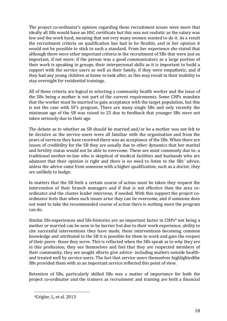The project co-ordinator's opinion regarding these recruitment issues were more that ideally all SBs would have an HSC certificate but this was not realistic as the salary was low and the work hard, meaning that not very many women wanted to do it. As a result the recruitment criteria on qualification has had to be flexible, and in her opinion it would not be possible to stick to such a standard. From her experience she stated that although there were other important criteria in the recruitment of SBs that were just as important, if not more: if the person was a good communicators as a large portion of their work is speaking in groups, their interpersonal skills as it is important to build a rapport with the service users as well as their family, if they were empathetic, and if they had any young children at home to look after, as this may result in their inability to stay overnight for residential trainings.

All of these criteria are logical in selecting a community health worker and the issue of the SBs being a mother is not part of the current requirements. Some CHPs mandate that the worker must be married to gain acceptance with the target population, but this is not the case with SF's program. There are many single SBs and only recently the minimum age of the SB was raised to 25 due to feedback that younger SBs were not taken seriously due to their age.

The debate as to whether an SB should be married and/or be a mother was not felt to be decisive as the service-users were all familiar with the organisation and from the years of services they have received there was an acceptance of the SBs. When there are issues of credibility for the SB they are usually due to other dynamics that her marital and fertility status would not be able to overcome. These are most commonly due to: a traditional mother-in-law who is skeptical of medical facilities and husbands who are adamant that their opinion is right and there is no need to listen to the SBs' advice, unless the advice came from someone with a higher qualification, such as a doctor, they are unlikely to budge.

In matters that the SB feels a certain course of action must be taken they request the intervention of their branch managers and if that is not effective then the area coordinator and the cluster leader intervene, if needed. With this support the project coordinator feels that when such issues arise they can be overcome, and if someone does not want to take the recommended course of action there is nothing more the program can do.

Similar life-experiences and life-histories are an important factor in  $CHPs<sup>4</sup>$  not being a mother or married can be seen to be barrier but due to their work experience, ability to cite successful interventions they have made, these interventions becoming common knowledge and attributed to the SB it is possible for them to work and gain the respect of their peers- those they serve. This is reflected when the SBs speak as to why they are in this profession; they see themselves and feel that they are respected members of their community, they are sought afterto give advice- including matters outside healthand treated well by service users. The fact that service users themselves highlightedthe SBs provided them with as an important service reflected this point of view.

Retention of SBs, particularly skilled SBs was a matter of importance for both the project co-ordinator and the trainers as recruitment and training are both a financial

 $\overline{a}$ 

<sup>4</sup>Crigler, L, et al. 2013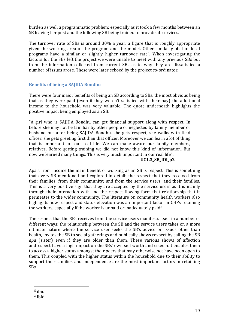burden as well a programmatic problem; especially as it took a few months between an SB leaving her post and the following SB being trained to provide all services.

The turnover rate of SBs is around 30% a year, a figure that is roughly appropriate given the working area of the program and the model. Other similar global or local programs have a similar or slightly higher turnover rate5. When investigating the factors for the SBs left the project we were unable to meet with any previous SBs but from the information collected from current SBs as to why they are dissatisfied a number of issues arose. These were later echoed by the project co-ordinator.

## **Benefits of being a SAJIDA Bondhu**

There were four major benefits of being an SB according to SBs, the most obvious being that as they were paid (even if they weren't satisfied with their pay) the additional income to the household was very valuable. The quote underneath highlights the positive impact being employed as an SB:

"A girl who is SAJIDA Bondhu can get financial support along with respect. In before she may not be familiar by other people or neglected by family member or husband but after being SAJIDA Bondhu, she gets respect, she walks with field officer, she gets greeting first than that officer. Moreover we can learn a lot of thing that is important for our real life. We can make aware our family members, relatives. Before getting training we did not know this kind of information. But now we learned many things. This is very much important in our real life".

#### **-UC1.3\_SB\_IDI\_p2**

Apart from income the main benefit of working as an SB is respect. This is something that every SB mentioned and explored in detail: the respect that they received from their families; from their community; and from the service users; and their families. This is a very positive sign that they are accepted by the service users as it is mainly through their interaction with and the respect flowing form that relationship that it permeates to the wider community. The literature on community health workers also highlights how respect and status elevation was an important factor in CHPs retaining the workers, especially if the worker is unpaid or inadequately paid<sup>6</sup>.

The respect that the SBs receives from the service users manifests itself in a number of different ways: the relationship between the SB and the service users takes on a more intimate nature where the service user seeks the SB's advice on issues other than health, invites the SB to social gatherings and publically shows respect by calling the SB *apa* (sister) even if they are older than them. These various shows of affection andrespect have a high impact on the SBs' own self worth and esteem.It enables them to access a higher status amongst their peers that may otherwise not have been open to them. This coupled with the higher status within the household due to their ability to support their families and independence are the most important factors in retaining SBs.

<sup>5</sup> ibid

 $\overline{a}$ 

<sup>6</sup> ibid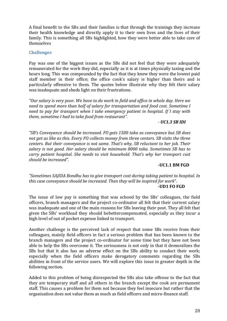A final benefit to the SBs and their families is that through the trainings they increase their health knowledge and directly apply it to their own lives and the lives of their family. This is something all SBs highlighted, how they were better able to take care of themselves

#### **Challenges**

Pay was one of the biggest issues as the SBs did not feel that they were adequately remunerated for the work they did, especially as it is at times physically taxing and the hours long. This was compounded by the fact that they knew they were the lowest paid staff member in their office; the office cook's salary is higher than theirs and is particularly offensive to them. The quotes below illustrate why they felt their salary was inadequate and sheds light on their frustrations.

"Our salary is very poor. We have to do work in field and office in whole day. Here we *need to spend more than half of salary for transportation and food cost. Sometime I need to pay for transport when I take emergency patient in hospital. If I stay with them, sometime I had to take food from restaurant".* 

#### *- UC1.3 SB IDI*

*"SB's Conveyance should be increased. FO gets 1500 taka as conveyance but SB does not get as like as this. Every FO collects money from three centers. SB visits the three centers. But their conveyance is not same. Thatǯs why, SB reluctant to her job. Their salary is not good. Her salary should be minimum 8000 taka. Sometimes SB has to carry patient hospital. She needs to visit household. Thatǯs why her transport cost should be increased*<sup>*"*</sup>.

#### **-UC1.1 BM FGD**

"Sometimes SAJIDA Bondhu has to give transport cost during taking patient to hospital. In *this case conveyance should be increased. Then they will be inspired for work".* **-UD1 FO FGD** 

The issue of low pay is something that was echoed by the SBs' colleagues, the field officers, branch managers and the project co-ordinator all felt that their current salary was inadequate and one of the main reasons for SBs leaving their post. They all felt that given the SBs' workload they should bebettercompensated, especially as they incur a high level of out of pocket expense linked to transport.

Another challenge is the perceived lack of respect that some SBs receive from their colleagues, mainly field officers in fact a serious problem that has been known to the branch managers and the project co-ordinator for some time but they have not been able to help the SBs overcome it. The seriousness is not only in that it demoralizes the SBs but that it also has an adverse effect on the SBs ability to conduct their work; especially when the field officers make derogatory comments regarding the SBs abilities in front of the service users. We will explore this issue in greater depth in the following section.

Added to this problem of being disrespected the SBs also take offense to the fact that they are temporary staff and all others in the branch except the cook are permanent staff. This causes a problem for them not because they feel insecure but rather that the organisation does not value them as much as field officers and micro-finance staff.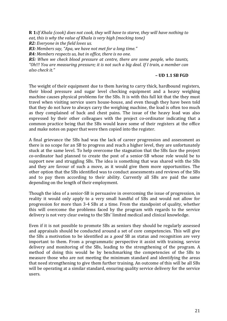**R 1:***If Khala (cook) does not cook, they will have to starve, they will have nothing to eat, this is why the value of Khala is very high (mocking tone)* 

*R2: Everyone in the field loves us.* 

*R3: Members say, "Apa, we have not met for a long time."* 

*R4: Members respects us, but in office, there is no one.* 

*R5: When we check blood pressure at centre, there are some people, who taunts,*  "Oh!!! You are measuring pressure; it is not such a big deal. If I train, a member can *also check it.*<sup>*n*</sup>

#### **– UD 1.1 SB FGD**

The weight of their equipment due to them having to carry thick, hardbound registers, their blood pressure and sugar level checking equipment and a heavy weighing machine causes physical problems for the SBs. It is with this full kit that the they must travel when visiting service users house-house, and even though they have been told that they do not have to always carry the weighing machine, the load is often too much as they complained of back and chest pains. The issue of the heavy load was also expressed by their other colleagues with the project co-ordinator indicating that a common practice being that the SBs would leave some of their registers at the office and make notes on paper that were then copied into the register.

A final grievance the SBs had was the lack of career progression and assessment as there is no scope for an SB to progress and reach a higher level, they are unfortunately stuck at the same level. To help overcome the stagnation that the SBs face the project co-ordinator had planned to create the post of a senior-SB whose role would be to support new and struggling SBs. The idea is something that was shared with the SBs and they are favour of such a move, as it would give them more opportunities. The other option that the SBs identified was to conduct assessments and reviews of the SBs and to pay them according to their ability. Currently all SBs are paid the same depending on the length of their employment.

Though the idea of a senior-SB is persuasive in overcoming the issue of progression, in reality it would only apply to a very small handful of SBs and would not allow for progression for more than 3-4 SBs at a time. From the standpoint of quality, whether this will overcome the problems faced by the program with regards to the service delivery is not very clear owing to the SBs' limited medical and clinical knowledge.

Even if it is not possible to promote SBs as seniors they should be regularly assessed and appraisals should be conducted around a set of core competencies. This will give the SBs a motivation to be identified as a *good* SB as status and recognition are very important to them. From a programmatic perspective it assist with training, service delivery and monitoring of the SBs, leading to the strengthening of the program. A method of doing this would be by benchmarking the competencies of the SBs to measure those who are not meeting the minimum standard and identifying the areas that need strengthening to give them further training. An outcome of this will be all SBs will be operating at a similar standard, ensuring quality service delivery for the service users.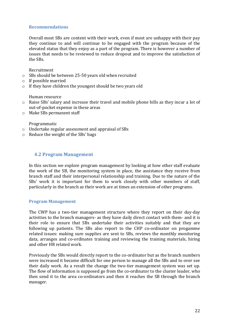#### **Recommendations**

Overall most SBs are content with their work, even if most are unhappy with their pay they continue to and will continue to be engaged with the program because of the elevated status that they enjoy as a part of the program. There is however a number of issues that needs to be reviewed to reduce dropout and to improve the satisfaction of the SBs.

Recruitment

- o SBs should be between 25-50 years old when recruited
- o If possible married
- o If they have children the youngest should be two years old

Human resource

- o Raise SBs' salary and increase their travel and mobile phone bills as they incur a lot of out-of-pocket expense in these areas
- o Make SBs permanent staff

Programmatic

- o Undertake regular assessment and appraisal of SBs
- o Reduce the weight of the SBs' bags

#### **4.2 Program Management**

In this section we explore program management by looking at how other staff evaluate the work of the SB, the monitoring system in place, the assistance they receive from branch staff and their interpersonal relationship and training. Due to the nature of the SBs' work it is important for them to work closely with other members of staff, particularly in the branch as their work are at times an extension of other programs.

#### **Program Management**

The CWP has a two-tier management structure where they report on their day-day activities to the branch managers- as they have daily direct contact with them- and it is their role to ensure that SBs undertake their activities suitably and that they are following up patients. The SBs also report to the CHP co-ordinator on progamme related issues: making sure supplies are sent to SBs, reviews the monthly monitoring data, arranges and co-ordinates training and reviewing the training materials, hiring and other HR related work.

Previously the SBs would directly report to the co-ordinator but as the branch numbers were increased it became difficult for one person to manage all the SBs and to over see their daily work. As a result the change the two-tier management system was set up. The flow of information is supposed go from the co-ordinator to the cluster leader, who then send it to the area co-ordinators and then it reaches the SB through the branch manager.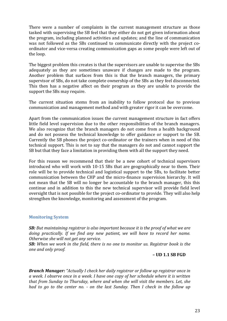There were a number of complaints in the current management structure as those tasked with supervising the SB feel that they either do not get given information about the program, including planned activities and updates; and the line of communication was not followed as the SBs continued to communicate directly with the project coordinator and vice-versa creating communication gaps as some people were left out of the loop.

The biggest problem this creates is that the supervisors are unable to supervise the SBs adequately as they are sometimes unaware if changes are made to the program. Another problem that surfaces from this is that the branch managers, the primary supervisor of SBs, do not take complete ownership of the SBs as they feel disconnected. This then has a negative affect on their program as they are unable to provide the support the SBs may require.

The current situation stems from an inability to follow protocol due to previous communication and management method and with greater rigor it can be overcome.

Apart from the communication issues the current management structure in fact offers little field level supervision due to the other responsibilities of the branch managers. We also recognize that the branch managers do not come from a health background and do not possess the technical knowledge to offer guidance or support to the SB. Currently the SB phones the project co-ordinator or the trainers when in need of this technical support. This is not to say that the managers do not and cannot support the SB but that they face a limitation in providing them with all the support they need.

For this reason we recommend that their be a new cohort of technical supervisors introduced who will work with 10-15 SBs that are geographically near to them. Their role will be to provide technical and logistical support to the SBs, to facilitate better communication between the CHP and the micro-finance supervision hierarchy. It will not mean that the SB will no longer be accountable to the branch manager, this this continue and in addition to this the new technical supervisor will provide field level oversight that is not possible for the project co-ordinator to provide. They will also help strengthen the knowledge, monitoring and assessment of the program.

#### **Monitoring System**

*SB: But maintaining registrar is also important because it is the proof of what we are doing practically. If we find any new patient, we will have to record her name. Otherwise she will not get any service.* 

*SB: When we work in the field, there is no one to monitor us. Registrar book is the one and only proof.* 

#### **– UD 1.1 SB FGD**

**Branch Manager:** "Actually I check her daily registrar or follow up registrar once in *a week. I observe once in a week. I have one copy of her schedule where it is written that from Sunday to Thursday, where and when she will visit the members. Let, she had to go to the center no. - on the last Sunday. Then I check in the follow up*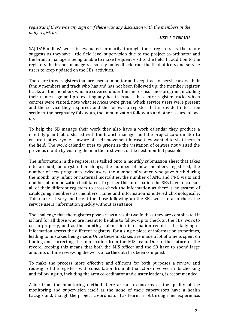*registrar if there was any sign or if there was any discussion with the members in the daily registrar.*"

#### *-USB 1.2 BM IDI*

SAJIDABondhus' work is evaluated primarily through their registers as the quote suggests as theyhave little field level supervision due to the project co-ordinator and the branch managers being unable to make frequent visit to the field. In addition to the registers the branch managers also rely on feedback from the field officers and service users to keep updated on the SBs' activities.

There are three registers that are used to monitor and keep track of service users, their family members and track who has and has not been followed up: the member register tracks all the members who are covered under the micro-insurance program, including their names, age and pre-existing any health issues; the centre register tracks which centres were visited, note what services were given, which service users were present and the service they required; and the follow-up register that is divided into three sections, the pregnancy follow-up, the immunization follow-up and other issues followup.

To help the SB manage their work they also have a work calendar they produce a monthly plan that is shared with the branch manager and the project co-ordinator to ensure that everyone is aware of their movement in case they wanted to visit them in the field. The work calendar tries to prioritize the visitation of centres not visited the previous month by visiting them in the first week of the next month if possible.

The information in the registersare tallied onto a monthly submission sheet that takes into account, amongst other things, the number of new members registered, the number of new pregnant service users, the number of women who gave birth during the month, any infant or maternal mortalities, the number of ANC and PNC visits and number of immunization facilitated. To gather this information the SBs have to consult all of their different registers to cross-check the information as there is no system of cataloguing members as members' name and information is entered chronologically. This makes it very inefficient for those following-up the SBs work to also check the service users' information quickly without assistance.

The challenge that the registers pose are as a result two fold: as they are complicated it is hard for all those who are meant to be able to follow-up to check on the SBs' work to do so properly, and as the monthly submission information requires the tallying of information across the different registers, for a single piece of information sometimes, leading to mistakes being made. Once these mistakes are made a lot of time is spent on finding and correcting the information from the MIS team. Due to the nature of the record keeping this means that both the MIS officer and the SB have to spend large amounts of time reviewing the work once the data has been compiled.

To make the process more effective and efficient for both purposes a review and redesign of the registers with consultation from all the actors involved in its checking and following-up, including the area co-ordinator and cluster leaders, is recommended.

Aside from the monitoring method there are also concerns as the quality of the monitoring and supervision itself as the none of their supervisors have a health background, though the project co-ordinator has learnt a lot through her experience.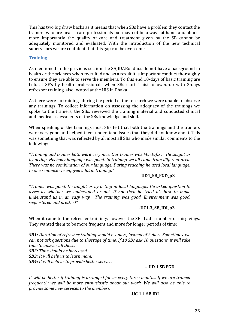This has two big draw backs as it means that when SBs have a problem they contact the trainers who are health care professionals but may not be always at hand, and almost more importantly the quality of care and treatment given by the SB cannot be adequately monitored and evaluated. With the introduction of the new technical supervisors we are confident that this gap can be overcome.

#### **Training**

As mentioned in the previous section the SAJIDABondhus do not have a background in health or the sciences when recruited and as a result it is important conduct thoroughly to ensure they are able to serve the members. To this end 10-days of basic training are held at SF's by health professionals when SBs start. Thisisfollowed-up with 2-days refresher training, also located at the HIS in Dhaka.

As there were no trainings during the period of the research we were unable to observe any trainings. To collect information on assessing the adequacy of the trainings we spoke to the trainers, the SBs, reviewed the training material and conducted clinical and medical assessments of the SBs knowledge and skill.

When speaking of the trainings most SBs felt that both the trainings and the trainers were very good and helped them understand issues that they did not know about. This was something that was reflected by all most all SBs who made similar comments to the following:

*DzTraining and trainer both were very nice. Our trainer was Muztafizvi. He taught us by acting. His body language was good. In training we all came from different area. There was no combination of our language. During teaching he used local language. In one sentence we enjoyed a lot in training.*"

#### -**UD1\_SB\_FGD\_p3**

*DzTrainer was good. He taught us by acting in local language. He asked question to asses us whether we understood or not. If not then he tried his best to make understand us in an easy way. The training was good. Environment was good, sequestered and prettied<sup><i>n*</sup>.

#### **-UC1.3\_SB\_IDI\_p3**

When it came to the refresher trainings however the SBs had a number of misgivings. They wanted them to be more frequent and more for longer periods of time:

*SB1: Duration of refresher training should e 4 days, instead of 2 days. Sometimes, we can not ask questions due to shortage of time. If 10 SBs ask 10 questions, it will take time to answer all those. SB2: Time should be increased. SB3: It will help us to learn more. SB4: It will help us to provide better service.*

#### **– UD 1 SB FGD**

*It will be better if training is arranged for us every three months. If we are trained frequently we will be more enthusiastic about our work. We will also be able to provide some new services to the members.* 

#### *-***UC 1.1 SB IDI**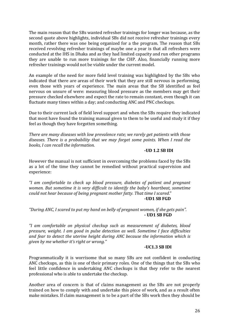The main reason that the SBs wanted refresher trainings for longer was because, as the second quote above highlights, individual SBs did not receive refresher trainings every month, rather there was one being organized for a the program. The reason that SBs received revolving refresher trainings of maybe one a year is that all refreshers were conducted at the IHS in Dhaka and as they had limited capacity and run other programs they are unable to run more trainings for the CHP. Also, financially running more refresher trainings would not be viable under the current model.

An example of the need for more field level training was highlighted by the SBs who indicated that there are areas of their work that they are still nervous in performing, even those with years of experience. The main areas that the SB identified as feel nervous on unsure of were: measuring blood pressure as the members may get their pressure checked elsewhere and expect the rate to remain constant, even though it can fluctuate many times within a day; and conducting ANC and PNC checkups.

Due to their current lack of field level support and when the SBs require they indicated that most have found the training manual given to them to be useful and study it if they feel as though they have forgotten something.

*There are many diseases with low prevalence rate; we rarely get patients with those diseases. There is a probability that we may forget some points. When I read the books, I can recall the information.*

#### **-UD 1.2 SB IDI**

However the manual is not sufficient in overcoming the problems faced by the SBs as a lot of the time they cannot be remedied without practical supervision and experience:

*DzI am comfortable to check up blood pressure, diabetes of patient and pregnant women. But sometime it is very difficult to identify the babyǯs heartbeat, sometime could not hear because of being pregnant mother fatty. That time I scared.*" **-UD1 SB FGD**

#### "During ANC, I scared to put my hand on belly of pregnant women, if she gets pain". **- UD1 SB FGD**

*DzI am comfortable on physical checkup such as measurement of diabetes, blood pressure, weight. I am good in pulse detection as well. Sometime I face difficulties and fear to detect the uterine height during ANC because the information which is given by me whether it's right or wrong.*"

#### *-***UC1.3 SB IDI**

Programmatically it is worrisome that so many SBs are not confident in conducting ANC checkups, as this is one of their primary roles. One of the things that the SBs who feel little confidence in undertaking ANC checkups is that they refer to the nearest professional who is able to undertake the checkup.

Another area of concern is that of claims management as the SBs are not properly trained on how to comply with and undertake this piece of work, and as a result often make mistakes. If claim management is to be a part of the SBs work then they should be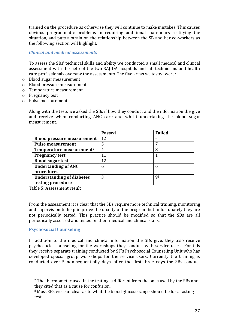trained on the procedure as otherwise they will continue to make mistakes. This causes obvious programmatic problems in requiring additional man-hours rectifying the situation, and puts a strain on the relationship between the SB and her co-workers as the following section will highlight.

*Clinical and medical assessments* 

To assess the SBs' technical skills and ability we conducted a small medical and clinical assessment with the help of the two SAJIDA hospitals and lab technicians and health care professionals oversaw the assessments. The five areas we tested were:

- o Blood sugar measurement
- o Blood pressure measurement
- o Temperature measurement
- o Pregnancy test
- o Pulse measurement

Along with the tests we asked the SBs if how they conduct and the information the give and receive when conducting ANC care and whilst undertaking the blood sugar measurement.

|                                      | <b>Passed</b> | <b>Failed</b> |
|--------------------------------------|---------------|---------------|
| <b>Blood pressure measurement</b>    | 12            |               |
| <b>Pulse measurement</b>             | 5             |               |
| Temperature measurement <sup>7</sup> | 4             |               |
| <b>Pregnancy test</b>                | 11            |               |
| <b>Blood sugar test</b>              | 12            |               |
| <b>Undertanding of ANC</b>           | 6             | 6             |
| procedures                           |               |               |
| <b>Understanding of diabetes</b>     | 3             | 98            |
| testing procedure                    |               |               |

Table 5: Assessment result

From the assessment it is clear that the SBs require more technical training, monitoring and supervision to help improve the quality of the program but unfortunately they are not periodically tested. This practice should be modified so that the SBs are all periodically assessed and tested on their medical and clinical skills.

#### **Psychosocial Counseling**

 $\overline{a}$ 

In addition to the medical and clinical information the SBs give, they also receive psychosocial counseling for the workshops they conduct with service users. For this they receive separate training conducted by SF's Psychosocial Counseling Unit who has developed special group workshops for the service users. Currently the training is conducted over 5 non-sequentially days, after the first three days the SBs conduct

<sup>&</sup>lt;sup>7</sup> The thermometer used in the testing is different from the ones used by the SBs and they cited that as a cause for confusion.

<sup>&</sup>lt;sup>8</sup> Most SBs were unclear as to what the blood glucose range should be for a fasting test.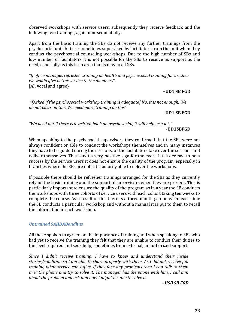observed workshops with service users, subsequently they receive feedback and the following two trainings, again non-sequentially.

Apart from the basic training the SBs do not receive any further trainings from the psychosocial unit, but are sometimes supervised by facilitators from the unit when they conduct the psychosocial counseling workshops. Due to the high number of SBs and low number of facilitators it is not possible for the SBs to receive as support as the need, especially as this is an area that is new to all SBs.

"If office manages refresher training on health and psychosocial training for us, then *we would give better service to the members".* [All vocal and agree}

**–UD1 SB FGD** 

"[Asked if the psychosocial workshop training is adequate] No, it is not enough. We *do not clear on this. We need more training on this"* 

*-***UD1 SB FGD** 

"We need but if there is a written book on psychosocial, it will help us a lot."

#### **-UD1SBFGD**

When speaking to the psychosocial supervisors they confirmed that the SBs were not always confident or able to conduct the workshops themselves and in many instances they have to be guided during the sessions, or the facilitators take over the sessions and deliver themselves. This is not a very positive sign for the even if it is deemed to be a success by the service users it does not ensure the quality of the program, especially in branches where the SBs are not satisfactorily able to deliver the workshops.

If possible there should be refresher trainings arranged for the SBs as they currently rely on the basic training and the support of supervisors when they are present. This is particularly important to ensure the quality of the program as in a year the SB conducts the workshops with three cohorts of service users with each cohort taking ten weeks to complete the course. As a result of this there is a three-month gap between each time the SB conducts a particular workshop and without a manual it is put to them to recall the information in each workshop.

#### *Untrained SAJIDABondhus*

All those spoken to agreed on the importance of training and when speaking to SBs who had yet to receive the training they felt that they are unable to conduct their duties to the level required and seek help; sometimes from external, unauthorized support:

*Since I didnǯt receive training, I have to know and understand their inside stories/condition so I am able to share properly with them. As I did not receive full training what service can I give. If they face any problems then I can talk to them over the phone and try to solve it. The manager has the phone with him, I call him about the problem and ask him how I might be able to solve it.* 

*– USB SB FGD*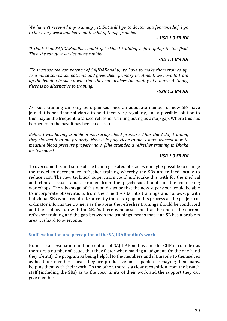*We havenǯt received any training yet. But still I go to doctor apa [paramedic], I go to her every week and learn quite a lot of things from her.* 

#### *– USB 1.3 SB IDI*

"*I* think that SAJIDABondhu should get skilled training before going to the field. *Then she can give service more rapidly.* 

#### *-RD 1.1 BM IDI*

*dzia increase the competency of SAJIDABondhu, we have to make them trained up. As a nurse serves the patients and gives them primary treatment, we have to train up the bondhu in such a way that they can achieve the quality of a nurse. Actually, there is no alternative to training.*"

#### *-USB 1.2 BM IDI*

As basic training can only be organized once an adequate number of new SBs have joined it is not financial viable to hold them very regularly, and a possible solution to this maybe the frequent localized refresher training acting as a stop gap. Where this has happened in the past it has been successful:

*Before I was having trouble in measuring blood pressure. After the 2 day training they showed it to me properly. Now it is fully clear to me. I have learned how to measure blood pressure properly now. [She attended a refresher training in Dhaka for two days]* 

#### *– USB 1.3 SB IDI*

To overcomethis and some of the training related obstacles it maybe possible to change the model to decentralize refresher training whereby the SBs are trained locally to reduce cost. The new technical supervisors could undertake this with for the medical and clinical issues and a trainer from the psychosocial unit for the counseling workshops. The advantage of this would also be that the new supervisor would be able to incorporate observations from their field visits into trainings and follow-up with individual SBs when required. Currently there is a gap in this process as the project coordinator informs the trainers as the areas the refresher trainings should be conducted and then follows-up with the SB. As there is no assessment at the end of the current refresher training and the gap between the trainings means that if an SB has a problem area it is hard to overcome.

#### **Staff evaluation and perception of the SAJIDABondhu's work**

Branch staff evaluation and perception of SAJIDABondhus and the CHP is complex as there are a number of issues that they factor when making a judgment. On the one hand they identify the program as being helpful to the members and ultimately to themselves as healthier members mean they are productive and capable of repaying their loans, helping them with their work. On the other, there is a clear recognition from the branch staff (including the SBs) as to the clear limits of their work and the support they can give members.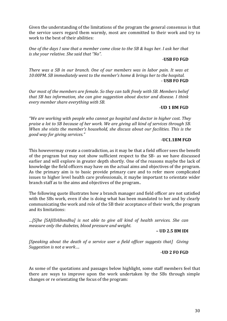Given the understanding of the limitations of the program the general consensus is that the service users regard them warmly, most are committed to their work and try to work to the best of their abilities:

*One of the days I saw that a member come close to the SB & hugs her. I ask her that is she your relative. She said that "No".* 

#### *-***USB FO FGD**

*There was a SB in our branch. One of our members was in labor pain. It was at 10:00PM. SB immediately went to the member's home & brings her to the hospital.* - **USB FO FGD** 

*Our most of the members are female. So they can talk freely with SB. Members belief that SB has information, she can give suggestion about doctor and disease. I think every member share everything with SB.*

#### -**UD 1 BM FGD**

*P We are working with people who cannot go hospital and doctor in higher cost. They praise a lot to SB because of her work. We are giving all kind of services through SB. When she visits the memberǯs household, she discuss about our facilities. This is the good way for giving services.*"

#### -**UC1.1BM FGD**

This howevermay create a contradiction, as it may be that a field officer sees the benefit of the program but may not show sufficient respect to the SB- as we have discussed earlier and will explore in greater depth shortly. One of the reasons maybe the lack of knowledge the field officers may have on the actual aims and objectives of the program. As the primary aim is to basic provide primary care and to refer more complicated issues to higher level health care professionals, it maybe important to orientate wider branch staff as to the aims and objectives of the program..

The following quote illustrates how a branch manager and field officer are not satisfied with the SBs work, even if she is doing what has been mandated to her and by clearly communicating the work and role of the SB their acceptance of their work, the program and its limitations:

*…[S]he [SAJIDABondhu] is not able to give all kind of health services. She can measure only the diabetes, blood pressure and weight.* 

#### **– UD 2.5 BM IDI**

*[Speaking about the death of a service user a field officer suggests that] Giving Suggestion is not a work….*

#### -**UD 2 FO FGD**

As some of the quotations and passages below highlight, some staff members feel that there are ways to improve upon the work undertaken by the SBs through simple changes or re orientating the focus of the program: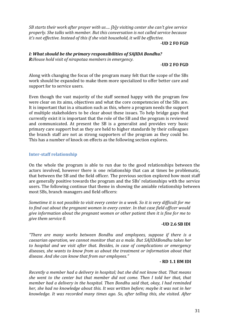*SB starts their work after prayer with us.... [b]y visiting center she can't give service properly. She talks with member. But this conversation is not called service because itǯs not effective. Instead of this if she visit household, it will be effective.* 

-**UD 2 FO FGD**

*I: What should be the primary responsibilities of SAJIDA Bondhu? R:House hold visit of nirapotaa members in emergency.*

#### -**UD 2 FO FGD**

Along with changing the focus of the program many felt that the scope of the SBs work should be expanded to make them more specialized to offer better care and support for to service users.

Even though the vast majority of the staff seemed happy with the program few were clear on its aims, objectives and what the core competencies of the SBs are. It is important that in a situation such as this, where a program needs the support of multiple stakeholders to be clear about these issues. To help bridge gaps that currently exist it is important that the role of the SB and the program is reviewed and communicated. At present the SB is a generalist and provides very basic primary care support but as they are held to higher standards by their colleagues the branch staff are not as strong supporters of the program as they could be. This has a number of knock on effects as the following section explores.

#### **Inter-staff relationship**

On the whole the program is able to run due to the good relationships between the actors involved, however there is one relationship that can at times be problematic, that between the SB and the field officer. The previous section explored how most staff are generally positive towards the program and the SBs' relationships with the service users. The following continue that theme in showing the amiable relationship between most SBs, branch managers and field officers:

*Sometime it is not possible to visit every center in a week. So it is very difficult for me to find out about the pregnant women in every center. In that case field officer would give information about the pregnant women or other patient then it is fine for me to give them service 0.*

#### **-UD 2.6 SB IDI**

"There are many works between Bondhu and employees, suppose if there is a *caesarian operation, we cannot monitor that as a male. But SAJIDABondhu takes her to hospital and we visit after that. Besides, in case of complications or emergency diseases, she wants to know from us about the treatment or information about that disease. And she can know that from our employees.*"

#### **- RD 1.1 BM IDI**

*Recently a member had a delivery in hospital; but she did not know that. That means she went to the center but that member did not come. Then I told her that, that member had a delivery in the hospital. Then Bondhu said that, okay, I had reminded her, she had no knowledge about this. It was written before; maybe it was not in her knowledge. It was recorded many times ago. So, after telling this, she visited. After*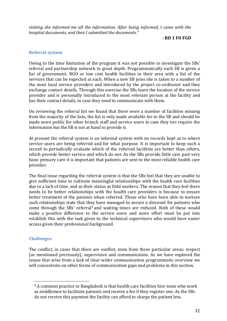*visiting she informed me all the information. After being informed, I came with the hospital documents, and then I submitted the documents.*<sup>*n*</sup>

**- RD 1 FO FGD** 

#### **Referral system**

Owing to the time limitation of the program it was not possible to investigate the SBs' referral and partnership network in great depth. Programmatically each SB is given a list of government, NGO or low cost health facilities in their area with a list of the services that can be expected at each. When a new SB joins she is taken to a number of the most local service providers and introduced by the project co-ordinator and they exchange contact details. Through this exercise the SBs learn the location of the service provider and is personally introduced to the most relevant person at the facility and has their contact details, in case they need to communicate with them.

On reviewing the referral list we found that there were a number of facilities missing from the majority of the lists, the list is only made available for to the SB and should be made more public for other branch staff and service users in case they too require the information but the SB is not at hand to provide it.

At present the referral system is an informal system with no records kept as to where service users are being referred and for what purpose. It is important to keep such a record to periodically evaluate which of the referred facilities are better than others, which provide better service and which do not. As the SBs provide little care past very basic primary care it is important that patients are sent to the most reliable health care provider.

The final issue regarding the referral system is that the SBs feel that they are unable to give sufficient time to cultivate meaningful relationships with the health care facilities due to a lack of time, and as their status as field workers. The reason that they feel there needs to be better relationships with the health care providers is because to ensure better treatment of the patients when referred. Those who have been able to nurture such relationships state that they have managed to secure a discount for patients who come through the SBs' referral<sup>9</sup> and waiting times are reduced. Both of these would make a positive difference to the service users and more effort must be put into establish this with the task given to the technical supervisors who would have easier access given their professional background.

#### **Challenges**

 $\overline{a}$ 

The conflict, in cases that there are conflict, stem from three particular areas: respect (as mentioned previously), supervision and communication. As we have explored the issues that arise from a lack of clear wider communication programmatic overview we will concentrate on other forms of communication gaps and problems in this section.

<sup>&</sup>lt;sup>9</sup> A common practice in Bangladesh is that health care facilities hire touts who work as middlemen to facilitate patients and receive a fee if they register one. As the SBs do not receive this payment the facility can afford to charge the patient less.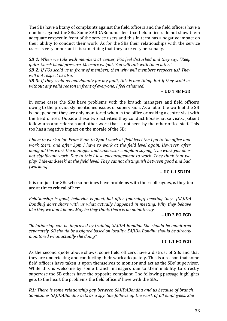The SBs have a litany of complaints against the field officers and the field officers have a number against the SBs. Some SAJIDABondhus feel that field officers do not show them adequate respect in front of the service users and this in term has a negative impact on their ability to conduct their work. As for the SBs their relationships with the service users is very important it is something that they take very personally.

**SB 1:** When we talk with members at center, FOs feel disturbed and they say, "Keep *guite. Check blood pressure. Measure weight. You will talk with them later.*<sup>*n*</sup> *SB 2: If FOs scold us in front of members, then why will members respects us? They will not respect us also.* 

*SB 3: If they scold us individually for my fault, this is one thing. But if they scold us without any valid reason in front of everyone, I feel ashamed.* 

**– UD 1 SB FGD**

In some cases the SBs have problems with the branch managers and field officers owing to the previously mentioned issues of supervision. As a lot of the work of the SB is independent they are only monitored when in the office or making a centre visit with the field officer. Outside these two activities they conduct house-house visits, patient follow-ups and referrals and other work that is not seen by the other office staff. This too has a negative impact on the morale of the SB:

*I have to work a lot. From 8 am to 2pm I work at field level the I go to the office and work there, and after 3pm I have to work at the field level again. However, after doing all this work the manager and supervisor complain saying, ǮThe work you do is not significant work. Due to this I lose encouragement to work. They think that we play Ǯhide-and-seekǯ at the field level. They cannot distinguish between good and bad [workers}.*

#### **– UC 1.1 SB IDI**

It is not just the SBs who sometimes have problems with their colleagues,as they too are at times critical of her:

*Relationship is good, behavior is good, but after [morning] meeting they [SAJIDA Bondhu] donǯt share with us what actually happened in meeting. Why they behave like this, we donǯt know. May be they think, there is no point to say.*

# **– UD 2 FO FGD**

"Relationship can be improved by training SAJIDA Bondhu. She should be monitored *separately. SB should be assigned based on locality. SAJIDA Bondhu should be directly monitored what actually she doing"*.

#### **-UC 1.1 FO FGD**

As the second quote above shows, some field officers have a distrust of SBs and that they are undertaking and conducting their work adequately. This is a reason that some field officers have taken it upon themselves to monitor and act as the SBs' supervisor. While this is welcome by some branch managers due to their inability to directly supervise the SB others have the opposite complaint. The following passage highlights gets to the heart the problems the field officers' have with the SBs:

*R1: There is some relationship gap between SAJIDABondhu and us because of branch. Sometimes SAJIDABondhu acts as a spy. She follows up the work of all employees. She*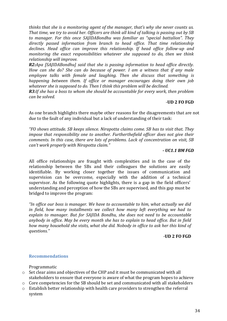*thinks that she is a monitoring agent of the manager, thatǯs why she never counts us. That time, we try to avoid her. Officers are think all kind of talking is passing out by SB to manager. For this once SAJIDABondhu was familiar as "special battalion". They directly passed information from branch to head office. That time relationship declines. Head office can improve this relationship. If head office follow-up and monitoring the exact responsibilities whatever she supposed to do, then we think relationship will improve.* 

*R2:Apa [SAJIDABondhu] said that she is passing information to head office directly. How can she do? She can do because of power. I am a witness that if any male employee talks with female and laughing. Then she discuss that something is happening between them. If office or manager encourages doing their own job whatever she is supposed to do. Then I think this problem will be declined.* 

*R3:If she has a boss to whom she should be accountable for every work, then problem can be solved.*

#### -**UD 2 FO FGD**

As one branch highlights there maybe other reasons for the disagreements that are not due to the fault of any individual but a lack of understanding of their task:

*DzFO shows attitude. SB keeps silence. Nirapotta claims come. SB has to visit that. They impose that responsibility one to another. Furtherthefield officer does not give their comments. In this case, there are lots of problems. Lack of concentration on visit, SB can't work properly with Nirapotta claim.*"

#### *- UC1.1 BM FGD*

All office relationships are fraught with complexities and in the case of the relationship between the SBs and their colleagues the solutions are easily identifiable. By working closer together the issues of communication and supervision can be overcome, especially with the addition of a technical supervisor. As the following quote highlights, there is a gap in the field officers' understanding and perception of how the SBs are supervised, and this gap must be bridged to improve the program:

"In office our boss is manager. We have to accountable to him, what actually we did *in field, how many installments we collect how many left everything we had to explain to manager. But for SAJIDA Bondhu, she does not need to be accountable anybody in office. May be every month she has to explain to head office. But in field how many household she visits, what she did. Nobody in office to ask her this kind of*   $questions.$ <sup>*n*</sup>

#### *-***UD 2 FO FGD**

#### **Recommendations**

#### Programmatic

- o Set clear aims and objectives of the CHP and it must be communicated with all stakeholders to ensure that everyone is aware of what the program hopes to achieve
- o Core competencies for the SB should be set and communicated with all stakeholders
- o Establish better relationship with health care providers to strengthen the referral system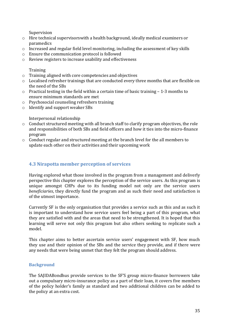Supervision

- o Hire technical supervisorswith a health background, ideally medical examiners or paramedics
- o Increased and regular field level monitoring, including the assessment of key skills
- o Ensure the communication protocol is followed
- o Review registers to increase usability and effectiveness

**Training** 

- o Training aligned with core competencies and objectives
- o Localised refresher trainings that are conducted every three months that are flexible on the need of the SBs
- o Practical testing in the field within a certain time of basic training 1-3 months to ensure minimum standards are met
- o Psychosocial counseling refreshers training
- o Identify and support weaker SBs

Interpersonal relationship

- o Conduct structured meeting with all branch staff to clarify program objectives, the role and responsibilities of both SBs and field officers and how it ties into the micro-finance program
- o Conduct regular and structured meeting at the branch level for the all members to update each other on their activities and their upcoming work

# **4.3 Nirapotta member perception of services**

Having explored what those involved in the program from a management and deliverly perspective this chapter explores the perception of the service users. As this program is unique amongst CHPs due to its funding model not only are the service users *beneficiaries*, they directly fund the program and as such their need and satisfaction is of the utmost importance.

Currently SF is the only organisation that provides a service such as this and as such it is important to understand how service users feel being a part of this program, what they are satisfied with and the areas that need to be strengthened. It is hoped that this learning will serve not only this program but also others seeking to replicate such a model.

This chapter aims to better ascertain service users' engagement with SF, how much they use and their opinion of the SBs and the service they provide, and if there were any needs that were being unmet that they felt the program should address.

# **Background**

The SAJIDABondhus provide services to the SF'S group micro-finance borrowers take out a compulsary micro-insurance policy as a part of their loan, it covers five members of the policy holder's family as standard and two additional children can be added to the policy at an extra cost.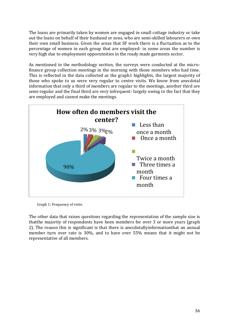The loans are primarily taken by women are engaged in small cottage industry or take out the loans on behalf of their husband or sons, who are semi-skilled labourers or own their own small business. Given the areas that SF work there is a fluctuation as to the percentage of women in each group that are employed- in some areas the number is very high due to employment opporutnities in the ready made garments sector.

As mentioned in the methodology section, the surveys were conducted at the microfinance group collection meetings in the morning with those members who had time. This is reflected in the data collected as the graph1 highlights, the largest majority of those who spoke to us were very regular to centre visits. We know from anecdotal information that only a third of members are regular to the meetings, another third are semi-regular and the final third are very infrequent- largely owing to the fact that they are employed and cannot make the meetings.



Graph 1: Frequency of visits

The other data that raises questions regarding the representation of the sample size is thatthe majority of respondents have been members for over 3 or more years (graph 2). The reason this is significant is that there is anecdotallyinformationthat an annual member turn over rate is 30%, and to have over 55% means that it might not be representative of all members.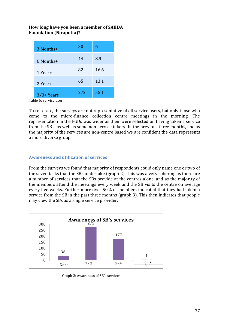# **How long have you been a member of SAJIDA Foundation (Nirapotta)?**

| 3 Months+   | 30  | 6    |
|-------------|-----|------|
| 6 Months+   | 44  | 8.9  |
| 1 Year+     | 82  | 16.6 |
| 2 Year+     | 65  | 13.1 |
| $3/3+Years$ | 272 | 55.1 |

Table 6: Service user

To reiterate, the surveys are not representative of all service users, but only those who come to the micro-finance collection centre meetings in the morning. The representation in the FGDs was wider as their were selected on having taken a service from the SB – as well as some non-service takers- in the previous three months, and as the majority of the services are non-centre based we are confident the data represents a more diverse group.

#### **Awareness and utilization of services**

From the surveys we found that majority of respondents could only name one or two of the seven tasks that the SBs undertake (graph 2). This was a very sobering as there are a number of services that the SBs provide at the centres alone, and as the majority of the members attend the meetings every week and the SB visits the centre on average every five weeks. Further more over 50% of members indicated that they had taken a service from the SB in the past three months (graph 3). This then indicates that people may view the SBs as a single service provider.



Graph 2: Awareness of SB's services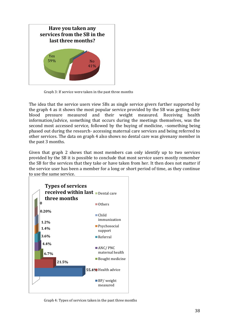

Graph 3: If service were taken in the past three months

The idea that the service users view SBs as single service givers further supported by the graph 4 as it shows the most popular service provided by the SB was getting their blood pressure measured and their weight measured. Receiving health information/advice, something that occurs during the meetings themselves, was the second most accessed service, followed by the buying of medicine, –something being phased out during the research- accessing maternal care services and being referred to other services. The data on graph 4 also shows no dental care was givenany member in the past 3 months.

Given that graph 2 shows that most members can only identify up to two services provided by the SB it is possible to conclude that most service users mostly remember the SB for the services that they take or have taken from her. It then does not matter if the service user has been a member for a long or short period of time, as they continue to use the same service.



Graph 4: Types of services taken in the past three months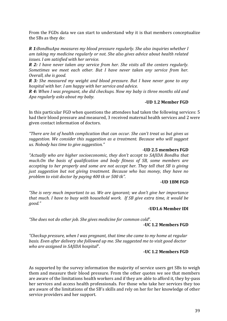From the FGDs data we can start to understand why it is that members conceptualize the SBs as they do:

*R 1:BondhuApa measures my blood pressure regularly. She also inquiries whether I am taking my medicine regularly or not. She also gives advice about health related issues. I am satisfied with her service.* 

*R 2: I have never taken any service from her. She visits all the centers regularly. Sometimes we meet each other. But I have never taken any service from her. Overall, she is good.* 

*R 3: She measured my weight and blood pressure. But I have never gone to any hospital with her. I am happy with her service and advice.* 

*R 4: When I was pregnant, she did checkups. Now my baby is three months old and Apa regularly asks about my baby.* 

#### **-UD 1.2 Member FGD**

In this particular FGD when questions the attendees had taken the following services: 5 had their blood pressure and measured, 3 received maternal health services and 2 were given contact information of doctors.

*d*<sup>*There are lot of health complication that can occur. She can't treat us but gives us*</sup> *suggestion. We consider this suggestion as a treatment. Because who will suggest us. Nobody has time to give suggestion.*"

#### *-***UD 2.5 members FGD**

*Actually who are higher socioeconomic, they don't accept to SAJIDA Bondhu that much.On the basis of qualification and body fitness of SB, some members are accepting to her properly and some are not accept her. They tell that SB is giving just suggestion but not giving treatment. Because who has money, they have no problem to visit doctor by paying 400 tk or 500 tk".* 

#### **-UD 1BM FGD**

*DzShe is very much important to us. We are ignorant; we donǯt give her importance that much. I have to busy with household work. If SB give extra time, it would be good.*"

#### *-***UD1.6 Member IDI**

"She does not do other job. She gives medicine for common cold".

#### **-UC 1.2 Members FGD**

*"Checkup pressure, when I was pregnant, that time she came to my home at regular basis. Even after delivery she followed up me. She suggested me to visit good doctor who are assigned in SAJIDA hospital".* 

#### **-UC 1.2 Members FGD**

As supported by the survey information the majority of service users get SBs to weigh them and measure their blood pressure. From the other quotes we see that members are aware of the limitations health workers and if they are able to afford it, they by-pass her services and access health professionals. For those who take her services they too are aware of the limitations of the SB's skills and rely on her for her knowledge of other service providers and her support.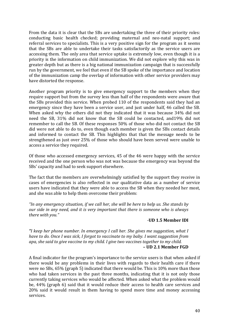From the data it is clear that the SBs are undertaking the three of their priority roles: conducting basic health checked; providing maternal and neo-natal support; and referral services to specialists. This is a very positive sign for the program as it seems that the SBs are able to undertake their tasks satisfactorily as the service users are accessing them. The only area that service uptake is extremely low, even though it is a priority is the information on child immunization. We did not explore why this was in greater depth but as there is a big national immunization campaign that is successfully run by the government, we feel that even if the SB spoke of the importance and location of the immunization camp the overlap of information with other service providers may have distorted the response.

Another program priority is to give emergency support to the members when they require support but from the survey less than half of the respondents were aware that the SBs provided this service. When probed 110 of the respondents said they had an emergency since they have been a service user, and just under half, 46 called the SB. When asked why the others did not they indicated that it was because 34% did not need the SB, 31% did not know that the SB could be contacted, and19% did not remember to call the SB. Of these responses 50% of those who did not contact the SB did were not able to do to, even though each member is given the SBs contact details and informed to contact the SB. This highlights that that the message needs to be strengthened as just over 25% of those who should have been served were unable to access a service they required.

Of those who accessed emergency services, 45 of the 46 were happy with the service received and the one person who was not was because the emergency was beyond the SBs' capacity and had to seek support elsewhere.

The fact that the members are overwhelmingly satisfied by the support they receive in cases of emergencies is also reflected in our qualitative data as a number of service users have indicated that they were able to access the SB when they needed her most, and she was able to help them overcome their problem:

*DzIn any emergency situation, if we call her, she will be here to help us. She stands by our side in any need, and it is very important that there is someone who is always there with you.*"

#### *-***UD 1.5 Member IDI**

*"I keep her phone number. In emergency I call her. She gives me suggestion, what I have to do. Once I was sick, I forgot to vaccinate to my baby. I want suggestion from apa, she said to give vaccine to my child. I give two vaccines together to my child.*  **– UD 2.1 Member FGD** 

A final indicator for the program's importance to the service users is that when asked if there would be any problems in their lives with regards to their health care if there were no SBs, 65% (graph 5) indicated that there would be. This is 10% more than those who had taken services in the past three months, indicating that it is not only those currently taking services who would be affected. When asked what the problem would be, 44% (graph 6) said that it would reduce their access to health care services and 20% said it would result in them having to spend more time and money accessing services.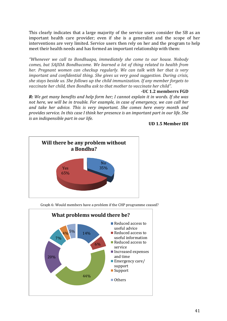This clearly indicates that a large majority of the service users consider the SB as an important health care provider; even if she is a generalist and the scope of her interventions are very limited. Service users then rely on her and the program to help meet their health needs and has formed an important relationship with them:

*"Whenever we call to Bondhuapa, immediately she come to our house. Nobody comes, but SAJIDA Bondhucome. We learned a lot of thing related to health from her. Pregnant women can checkup regularly. We can talk with her that is very important and confidential thing. She gives us very good suggestion. During crisis, she stays beside us. She follows up the child immunization. If any member forgets to vaccinate her child, then Bondhu ask to that mother to vaccinate her child".* 

#### **-UC 1.2 memberrs FGD**

*R: We get many benefits and help form her; I cannot explain it in words. If she was not here, we will be in trouble. For example, in case of emergency, we can call her and take her advice. This is very important. She comes here every month and provides service. In this case I think her presence is an important part in our life. She is an indispensible part in our life.*

#### **UD 1.5 Member IDI**



Graph 6: Would members have a problem if the CHP programme ceased?

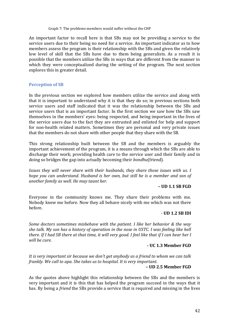#### Graph 7: The problems members would suffer without the CHP

An important factor to recall here is that SBs may not be providing a service to the service users due to their being no need for a service. An important indicator as to how members assess the program is their relationship with the SBs and given the relatively low level of skill that the SBs have due to them being generalists. As a result it is possible that the members utilize the SBs in ways that are different from the manner in which they were conceptualized during the setting of the program. The next section explores this in greater detail.

# **Perception of SB**

In the previous section we explored how members utilize the service and along with that it is important to understand why it is that they do so; in previous sections both service users and staff indicated that it was the relationship between the SBs and service users that is an important factor. In the first section we saw how the SBs saw themselves in the members' eyes: being respected, and being important in the lives of the service users due to the fact they are entrusted and enlisted for help and support for non-health related matters. Sometimes they are personal and very private issues that the members do not share with other people that they share with the SB.

This strong relationship built between the SB and the members is arguably the important achievement of the program, it is a means through which the SBs are able to discharge their work; providing health care to the service user and their family and in doing so bridges the gap into actually becoming their *bondhu*(friend)*.* 

*Issues they will never share with their husbands, they share those issues with us. I hope you can understand. Husband is her own, but still he is a member and son of another family as well. He may taunt her.*

#### **– UD 1.1 SB FGD**

Everyone in the community knows me. They share their problems with me. Nobody knew me before. Now they all behave nicely with me which was not there before.

#### - **UD 1.2 SB IDI**

*Some doctors sometimes misbehave with the patient. I like her behavior & the way she talk. My son has a history of operation in the nose in USTC. I was feeling like hell there. If I had SB there at that time, it will very good. I feel like that if I can hear her I will be cure.*

#### **- UC 1.3 Member FGD**

*It is very important sir because we donǯt get anybody as a friend to whom we can talk frankly. We call to apa. She takes us to hospital. It is very important.* 

#### **– UD 2.5 Member FGD**

As the quotes above highlight this relationship between the SBs and the members is very important and it is this that has helped the program succeed in the ways that it has. By being a *friend* the SBs provide a service that is required and missing in the lives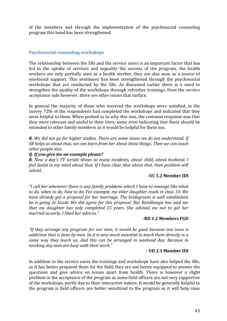of the members and through the implementation of the psychosocial counseling program this bond has been strengthened.

#### **Psychosocial counseling workshops**

The relationship between the SBs and the service users is an important factor that has led to the uptake of services and arguably the success of the program; the health workers are only partially seen as a health worker, they are also seen as a source of emotional support. This sentiment has been strengthened through the psychosocial workshops that are conducted by the SBs. As discussed earlier there is a need to strengthen the quality of the workshops through refresher trainings, from the service acceptance side however, there are other issues that surface.

In general the majority of those who received the workshops were satisfied, in the survey 72% of the respondents had completed the workshops and indicated that they were helpful to them. When probed as to why this was, the common response was that they were relevant and useful to their lives; some even indicating that these should be extended to other family members as it would be helpful for them too.

*R. We did not go for higher studies. There are some issues we do not understand. If SB helps us about that, we can learn from her about these things. Then we can teach other people also.* 

#### *Q. If you give me an example please?*

*R. Now a dayǯs TV serials shows so many incidents, about child, about husband. I feel doubt in my mind about that. If I have clear idea about that, then problem will solved.* 

#### **-UC 1.2 Member IDI**

*DzI call her whenever there is any family problems which I have to manage like what to do, when to do, how to do. For example, my elder daughter reads in class 10. We have already got a proposal for her marriage. The bridegroom is well established, he is going to Saudi. We did agree for this proposal. But Bondhuapa has said me that my daughter has only completed 15 years. She advised me not to get her married so early. I liked her advices.*"

## **-RD 1.2 Members FGD**

*DzIf they arrange any program for our men, it would be good because one issue is addiction that is done by men. So it is very much essential to teach them directly in a same way they teach us. And this can be arranged in weekend day. Because in working day men are busy with their work.*"

#### **- UD 2.1 Member IDI**

In addition to the service users the trainings and workshops have also helped the SBs, as it has better prepared them for the field, they are not better equipped to answer the questions and give advice on issues apart from health. There is however a slight problem in the acceptance of the program as some field officers are not very supportive of the workshops, partly due to their interactive nature. It would be generally helpful to the program is field officers are better sensitized to the program as it will help raise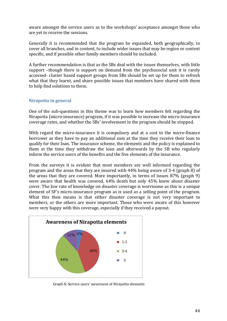aware amongst the service users as to the workshops' acceptance amongst those who are yet to receive the sessions.

Generally it is recommended that the program be expanded, both geographically, to cover all branches, and in content, to include wider issues that may be region or context specific, and if possible other family members should be included.

A further recommendation is that as the SBs deal with the issues themselves, with little support –though there is support on demand from the psychosocial unit it is rarely accessed- cluster based support groups from SBs should be set up for them to refresh what that they learnt, and share possible issues that members have shared with them to help find solutions to them.

## **Nirapotta in general**

One of the sub-questions in this theme was to learn how members felt regarding the Nirapotta (micro-insurance) program, if it was possible to increase the micro-insurance coverage rates, and whether the SBs' involvement in the program should be stopped.

With regard the micro-insurance it is compulsory and at a cost to the micro-finance borrower as they have to pay an additional sum at the time they receive their loan to qualify for their loan. The insurance scheme, the elements and the policy is explained to them at the time they withdraw the loan and afterwards by the SB who regularly inform the service users of the benefits and the five elements of the insurance.

From the surveys it is evident that most members are well informed regarding the program and the areas that they are insured with 44% being aware of 3-4 (graph 8) of the areas that they are covered. More importantly, in terms of issues 87% (graph 9) were aware that health was covered, 64% death but only 45% knew about disaster cover. The low rate of knowledge on disaster coverage is worrisome as this is a unique element of SF's micro-insurance program as is used as a selling point of the program. What this then means is that either disaster coverage is not very important to members, or the others are more important. Those who were aware of this however were very happy with this coverage, especially if they received a payout.



Graph 8: Service users' awareness of Nirapotta elements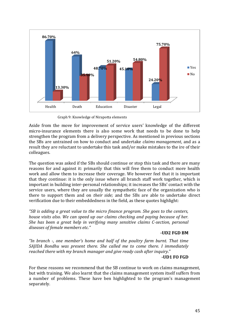

Graph 9: Knowledge of Nirapotta elements

Aside from the move for improvement of service users' knowledge of the different micro-insurance elements there is also some work that needs to be done to help strengthen the program from a delivery perspective. As mentioned in previous sections the SBs are untrained on how to conduct and undertake *claims management*, and as a result they are reluctant to undertake this task and/or make mistakes to the ire of their colleagues.

The question was asked if the SBs should continue or stop this task and there are many reasons for and against it: primarily that this will free them to conduct more health work and allow them to increase their coverage. We however feel that it is important that they continue: it is the only issue where all branch staff work together, which is important in building inter-personal relationships; it increases the SBs' contact with the service users, where they are usually the sympathetic face of the organization who is there to support them and on *their side;* and the SBs are able to undertake direct verification due to their embeddedness in the field, as these quotes highlight:

*Parace is adding a great value to the micro finance program. She goes to the centers,*  $\overline{a}$ *house visits also. We can speed up our claims checking and paying because of her. She has been a great help in verifying many sensitive claims C-section, personal diseases of female members etc.*<sup>*"*</sup>

## **-UD2 FGD BM**

*DzIn branch -, one memberǯs home and half of the poultry farm burnt. That time SAJIDA Bondhu was present there. She called me to come there. I immediately reached there with my branch manager and give ready cash after inquiry.*"

#### **-UD1 FO FGD**

For these reasons we recommend that the SB continue to work on claims management, but with training. We also learnt that the claims management system itself suffers from a number of problems. These have ben highlighted to the program's management separately.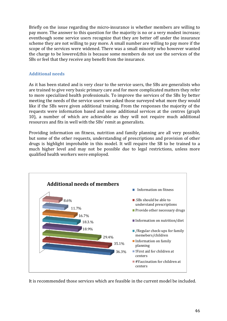Briefly on the issue regarding the micro-insurance is whether members are willing to pay more. The answer to this question for the majority is no or a very modest increase; eventhough some service users recognize that they are better off under the insurance scheme they are not willing to pay more. A small number are willing to pay more if the scope of the services were widened. There was a small minority who however wanted the charge to be lowered,this is because some members do not use the services of the SBs or feel that they receive any benefit from the insurance.

# **Additional needs**

As it has been stated and is very clear to the service users, the SBs are generalists who are trained to give very basic primary care and for more complicated matters they refer to more specialized health professionals. To improve the services of the SBs by better meeting the needs of the service users we asked those surveyed what more they would like if the SBs were given additional training. From the responses the majority of the requests were information based and some additional services at the centres (graph 10), a number of which are achievable as they will not require much additional resources and fits in well with the SBs' remit as generalists.

Providing information on fitness, nutrition and family planning are all very possible, but some of the other requests, understanding of prescriptions and provision of other drugs is highlight improbable in this model. It will require the SB to be trained to a much higher level and may not be possible due to legal restrictions, unless more qualified health workers were employed.



It is recommended those services which are feasible in the current model be included.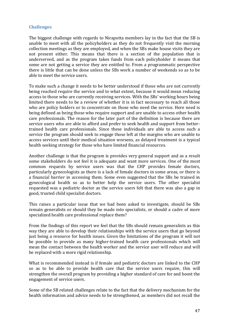#### **Challenges**

The biggest challenge with regards to Nirapotta members lay in the fact that the SB is unable to meet with all the policyholders as they do not frequently visit the morning collection meetings as they are employed, and when the SBs make house visits they are not present either. This means that there is a section of the population that is underserved, and as the program takes funds from each policyholder it means that some are not getting a service they are entitled to. From a programmatic perspective there is little that can be done unless the SBs work a number of weekends so as to be able to meet the service users.

To make such a change it needs to be better understood if those who are not currently being reached require the service and to what extent, because it would mean reducing access to those who are currently receiving services. With the SBs' working hours being limited there needs to be a review of whether it is in fact necessary to reach all those who are policy holders or to concentrate on those who need the service. Here need is being defined as being those who require support and are unable to access other health care professionals. The reason for the later part of the definition is because there are service users who are able to afford and prefer to seek health and support from bettertrained health care professionals. Since these individuals are able to access such a service the program should seek to engage those left at the margins who are unable to access services until their medical situation worsens, as delayed treatment is a typical health seeking strategy for those who have limited financial resources.

Another challenge is that the program is provides very general support and as a result some stakeholders do not feel it is adequate and want more services. One of the most common requests by service users was that the CHP provides female doctors, particularly gynecologists as there is a lack of female doctors in some areas, or there is a financial barrier in accessing them. Some even suggested that the SBs be trained in gynecological health so as to better help the service users. The other specialist requested was a pediatric doctor as the service users felt that there was also a gap in good, trusted child specialist doctors.

This raises a particular issue that we had been asked to investigate, should be SBs remain generalists or should they be made into specialists, or should a cadre of more specialized health care professional replace them?

From the findings of this report we feel that the SBs should remain generalists as this way they are able to develop their relationships with the service users that go beyond just being a resource for health issues. Given the limitations of the program it will not be possible to provide as many higher-trained health care professionals which will mean the contact between the health worker and the service user will reduce and will be replaced with a more rigid relationship.

What is recommended instead is if female and pediatric doctors are linked to the CHP so as to be able to provide health care that the service users require, this will strengthen the overall program by providing a higher standard of care for and boost the engagement of service users.

Some of the SB related challenges relate to the fact that the delivery mechanism for the health information and advice needs to be strengthened, as members did not recall the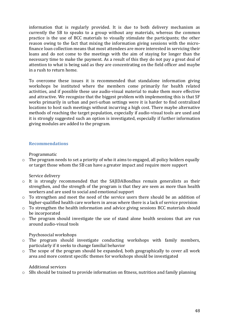information that is regularly provided. It is due to both delivery mechanism as currently the SB to speaks to a group without any materials, whereas the common practice is the use of BCC materials to visually stimulate the participants; the other reason owing to the fact that mixing the information giving sessions with the microfinance loan collection means that most attendees are more interested in servicing their loans and do not come to the meetings with the aim of staying for longer than the necessary time to make the payment. As a result of this they do not pay a great deal of attention to what is being said as they are concentrating on the field officer and maybe in a rush to return home.

To overcome these issues it is recommended that standalone information giving workshops be instituted where the members come primarily for health related activities, and if possible these use audio-visual material to make them more effective and attractive. We recognize that the biggest problem with implementing this is that SF works primarily in urban and peri-urban settings were it is harder to find centralized locations to host such meetings without incurring a high cost. There maybe alternative methods of reaching the target population, especially if audio-visual tools are used and it is strongly suggested such an option is investigated, especially if further information giving modules are added to the program.

## **Recommendations**

Programmatic

o The program needs to set a priority of who it aims to engaged, all policy holders equally or target those whom the SB can have a greater impact and require more support

Service delivery

- o It is strongly recommended that the SAJIDABondhus remain generalists as their strengthen, and the strength of the program is that they are seen as more than health workers and are used to social and emotional support
- o To strengthen and meet the need of the service users there should be an addition of higher-qualified health care workers in areas where there is a lack of service provision
- o To strengthen the health information and advice giving sessions BCC materials should be incorporated
- o The program should investigate the use of stand alone health sessions that are run around audio-visual tools

Psychosocial workshops

- o The program should investigate conducting workshops with family members, particularly if it seeks to change familial behavior
- o The scope of the program should be expanded, both geographically to cover all work area and more context specific themes for workshops should be investigated

Additional services

o SBs should be trained to provide information on fitness, nutrition and family planning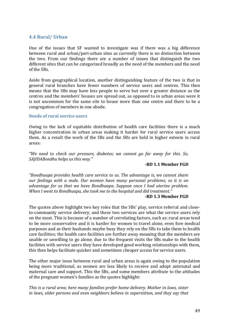# **4.4 Rural/ Urban**

One of the issues that SF wanted to investigate was if there was a big difference between rural and urban/peri-urban sites as currently there is no distinction between the two. From our findings there are a number of issues that distinguish the two different sites that can be categorized broadly as the need of the members and the need of the SBs.

Aside from geographical location, another distinguishing feature of the two is that in general rural branches have fewer numbers of service users and centres. This then means that the SBs may have less people to serve but over a greater distance as the centres and the members' houses are spread out, as opposed to in urban areas were it is not uncommon for the same site to house more than one centre and there to be a congregation of members in one abode.

#### **Needs of rural service users**

Owing to the lack of equitable distribution of health care facilities there is a much higher concentration in urban areas making it harder for rural service users access them. As a result the work of the SBs and the SBs are held in higher esteem in rural areas:

*We need to check our pressure, diabetes; we cannot go far away for this. So, SAJIDABondhu helps us this way.*<sup>*"*</sup>

#### **-RD 1.1 Member FGD**

*Pandhuapa provides health care service to us. The advantage is, we cannot share our feelings with a male. Our women have many personal problems; so it is an advantage for us that we have Bondhuapa. Suppose once I had uterine problem. When I went to Bondhuapa, she took me to the hospital and did treatment.*<sup>*n*</sup>

#### **-RD 1.3 Member FGD**

The quotes above highlight two key roles that the SBs' play, service referral and closeto-community service delivery, and these two services are what the service users rely on the most. This is because of a number of correlating factors, such as: rural areas tend to be more conservative and it is harder for women to travel alone, even fore medical purposes and as their husbands maybe busy they rely on the SBs to take them to health care facilities; the health care facilities are further away meaning that the members are unable or unwilling to go alone; due to the frequent visits the SBs make to the health facilities with service users they have developed good working relationships with them, this then helps facilitate quicker and sometimes cheaper access for service users.

The other major issue between rural and urban areas is again owing to the population being more traditional, as women are less likely to receive and adopt antenatal and maternal care and support. This the SBs, and some members attribute to the attitudes of the pregnant women's families as the quotes highlight:

*This is a rural area; here many families prefer home delivery. Mother in laws, sister in laws, older persons and even neighbors believe in superstition, and they say that*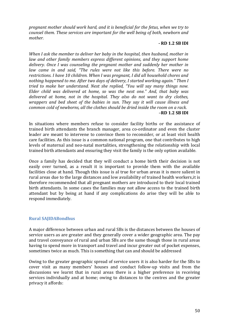*pregnant mother should work hard, and it is beneficial for the fetus, when we try to counsel them. These services are important for the well being of both, newborn and mother.* 

#### *-* **RD 1.2 SB IDI**

*When I ask the member to deliver her baby in the hospital, then husband, mother in law and other family members express different opinions, and they support home delivery. Once I was counseling the pregnant mother and suddenly her mother in law came in and said, "The rules were not like this before. There were no restrictions. I have 10 children. When I was pregnant, I did all household chores and nothing happened to me. After two days of delivery, I started working again. Then I tried to make her understand. Next she replied, "You will say many things now. Elder child was delivered at home, so was the next one.*<sup>*n*</sup> And, that baby was *delivered at home, not in the hospital. They also do not want to dry clothes, wrappers and bed sheet of the babies in sun. They say it will cause illness and common cold of newborns, all the clothes should be dried inside the room on a rack. –***RD 1.2 SB IDI** 

In situations where members refuse to consider facility births or the assistance of trained birth attendants the branch manager, area co-ordinator and even the cluster leader are meant to intervene to convince them to reconsider, or at least visit health care facilities. As this issue is a common national program, one that contributes to high levels of maternal and neo-natal mortalities, strengthening the relationship with local trained birth attendants and ensuring they visit the family is the only option available.

Once a family has decided that they will conduct a home birth their decision is not easily over turned, as a result it is important to provide them with the available facilities close at hand. Though this issue is al true for urban areas it is more salient in rural areas due to the large distances and low availability of trained health workers,it is therefore recommended that all pregnant mothers are introduced to their local trained birth attendants. In some cases the families may not allow access to the trained birth attendant but by being at hand if any complications do arise they will be able to respond immediately.

## **Rural SAJIDABondhus**

A major difference between urban and rural SBs is the distances between the houses of service users as are greater and they generally cover a wider geographic area. The pay and travel conveyance of rural and urban SBs are the same though those in rural areas having to spend more in transport and travel and incur greater out of pocket expenses, sometimes twice as much. This is something that can and should be addressed

Owing to the greater geographic spread of service users it is also harder for the SBs to cover visit as many members' houses and conduct follow-up visits and from the discussions we learnt that in rural areas there is a higher preference in receiving services individually and at home; owing to distances to the centres and the greater privacy it affords: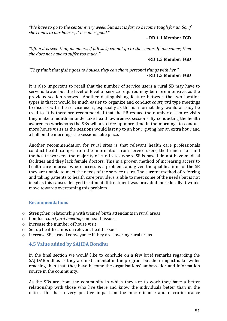*"We have to go to the center every week, but as it is far; so become tough for us. So, if she comes to our houses, it becomes good.*<sup>*n*</sup>

## **– RD 1.1 Member FGD**

"Often it is seen that, members, if fall sick; cannot go to the center. If apa comes, then *she does not have to suffer too much.*<sup>*n*</sup>

## **-RD 1.3 Member FGD**

"They think that if she goes to houses, they can share personal things with her." **- RD 1.3 Member FGD** 

It is also important to recall that the number of service users a rural SB may have to serve is lower but the level of level of service required may be more intensive, as the previous section showed. Another distinguishing feature between the two location types is that it would be much easier to organize and conduct *courtyard* type meetings to discuss with the service users, especially as this is a format they would already be used to. It is therefore recommended that the SB reduce the number of centre visits they make a month an undertake health awareness sessions. By conducting the health awareness workshops the SBs will also free up more time in the mornings to conduct more house visits as the sessions would last up to an hour, giving her an extra hour and a half on the mornings the sessions take place.

Another recommendation for rural sites is that relevant health care professionals conduct health camps; from the information from service users, the branch staff and the health workers, the majority of rural sites where SF is based do not have medical facilities and they lack female doctors. This is a proven method of increasing access to health care in areas where access is a problem, and given the qualifications of the SB they are unable to meet the needs of the service users. The current method of referring and taking patients to health care providers is able to meet some of the needs but is not ideal as this causes delayed treatment. If treatment was provided more locally it would move towards overcoming this problem.

#### **Recommendations**

- o Strengthen relationship with trained birth attendants in rural areas
- o Conduct *courtyard meetings* on health issues
- o Increase the number of house visit
- o Set up health camps on relevant health issues
- o Increase SBs' travel conveyance if they are covering rural areas

# **4.5 Value added by SAJIDA Bondhu**

In the final section we would like to conclude on a few brief remarks regarding the SAJIDABondhus as they are instrumental in the program but their impact is far wider reaching than that, they have become the organisations' ambassador and information source in the community.

As the SBs are from the community in which they are to work they have a better relationship with those who live there and know the individuals better than in the office. This has a very positive impact on the micro-finance and micro-insurance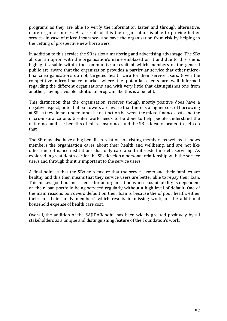programs as they are able to verify the information faster and through alternative, more organic sources. As a result of this the organisation is able to provide better service- in case of micro-insurance- and save the organisation from risk by helping in the vetting of prospective new borrowers.

In addition to this service the SB is also a marketing and advertising advantage. The SBs all don an apron with the organisation's name emblazed on it and due to this she is highlight visable within the community; a result of which members of the general public are aware that the organization provides a particular service that other microfinancneorganisations do not, targeted health care for their service users. Given the competitive micro-finance market where the potential clients are well informed regarding the different organisations and with very little that distinguishes one from another, having a visible additional program like this is a benefit.

This distinction that the organisation receives though mostly positive does have a negative aspect; potential borrowers are aware that there is a higher cost of borrowing at SF as they do not understand the distinction between the micro-finance costs and the micro-insurance one. Greater work needs to be done to help people understand the difference and the benefits of micro-insurance, and the SB is ideally located to help do that.

The SB may also have a big benefit in relation to existing members as well as it shows members the organisation cares about their health and wellbeing, and are not like other micro-finance institutions that only care about interested in debt servicing. As explored in great depth earlier the SFs develop a personal relationship with the service users and through this it is important to the service users.

A final point is that the SBs help ensure that the service users and their families are healthy and this then means that they service users are better able to repay their loan. This makes good business sense for an organisation whose sustainability is dependent on their loan portfolio being serviced regularly without a high level of default. One of the main reasons borrowers default on their loan is because the of poor health, either theirs or their family members' which results in missing work, or the additional household expense of health care cost.

Overall, the addition of the SAJIDABondhu has been widely greeted positively by all stakeholders as a unique and distinguishing feature of the Foundation's work.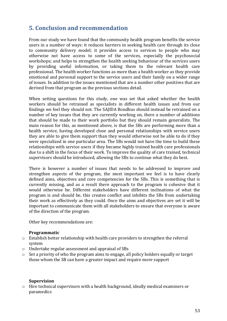# **5. Conclusion and recommendation**

From our study we have found that the community health program benefits the service users in a number of ways: it reduces barriers in seeking health care through its close to community delivery model; it provides access to services to people who may otherwise not have access to some of the services, especially the psychosocial workshops; and helps to strengthen the health seeking behaviour of the services users by providing useful information, or taking them to the relevant health care professional. The health worker functions as more than a health worker as they provide emotional and personal support to the service users and their family on a wider range of issues. In addition to the issues mentioned that are a number other positives that are derived from that program as the previous sections detail.

When setting questions for this study, one was set that asked whether the health workers should be retrained as specialists in different health issues and from our findings we feel they should not. The SAJIDA Bondhus should instead be retrained on a number of key issues that they are currently working on, there a number of additions that should be made to their work portfolio but they should remain generalists. The main reason for this, as mentioned above, is that the SBs are performing more than a health service, having developed close and personal relationships with service users they are able to give them support than they would otherwise not be able to do if they were specialized in one particular area. The SBs would not have the time to build these relationships with service users if they became highly trained health care professionals due to a shift in the focus of their work. To improve the quality of care trained, technical supervisors should be introduced, allowing the SBs to continue what they do best.

There is however a number of issues that needs to be addressed to improve and strengthen aspects of the program, the most important we feel is to have clearly defined aims, objectives and core competencies for the SBs. This is something that is currently missing, and as a result there approach to the program is cohesive that it would otherwise be. Different stakeholders have different inclinations of what the program is and should be, this creates conflict and inhibits the SBs from undertaking their work as effectively as they could. Once the aims and objectives are set it will be important to communicate them with all stakeholders to ensure that everyone is aware of the direction of the program.

Other key recommendations are:

## **Programmatic**

- o Establish better relationship with health care providers to strengthen the referral system
- o Undertake regular assessment and appraisal of SBs
- o Set a priority of who the program aims to engage, all policy holders equally or target those whom the SB can have a greater impact and require more support

#### **Supervision**

o Hire technical supervisors with a health background, ideally medical examiners or paramedics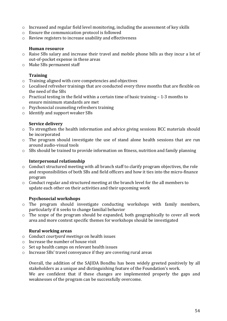- o Increased and regular field level monitoring, including the assessment of key skills
- o Ensure the communication protocol is followed
- o Review registers to increase usability and effectiveness

# **Human resource**

- o Raise SBs salary and increase their travel and mobile phone bills as they incur a lot of out-of-pocket expense in these areas
- o Make SBs permanent staff

# **Training**

- o Training aligned with core competencies and objectives
- o Localised refresher trainings that are conducted every three months that are flexible on the need of the SBs
- o Practical testing in the field within a certain time of basic training 1-3 months to ensure minimum standards are met
- o Psychosocial counseling refreshers training
- o Identify and support weaker SBs

# **Service delivery**

- o To strengthen the health information and advice giving sessions BCC materials should be incorporated
- o The program should investigate the use of stand alone health sessions that are run around audio-visual tools
- o SBs should be trained to provide information on fitness, nutrition and family planning

# **Interpersonal relationship**

- o Conduct structured meeting with all branch staff to clarify program objectives, the role and responsibilities of both SBs and field officers and how it ties into the micro-finance program
- o Conduct regular and structured meeting at the branch level for the all members to update each other on their activities and their upcoming work

# **Psychosocial workshops**

- o The program should investigate conducting workshops with family members, particularly if it seeks to change familial behavior
- o The scope of the program should be expanded, both geographically to cover all work area and more context specific themes for workshops should be investigated

# **Rural working areas**

- o Conduct *courtyard meetings* on health issues
- o Increase the number of house visit
- o Set up health camps on relevant health issues
- $\circ$  Increase SBs' travel conveyance if they are covering rural areas

Overall, the addition of the SAJIDA Bondhu has been widely greeted positively by all stakeholders as a unique and distinguishing feature of the Foundation's work.

We are confident that if these changes are implemented properly the gaps and weaknesses of the program can be successfully overcome.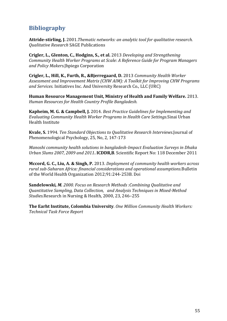# **Bibliography**

**Attride-stirling, J.** 2001.*Thematic networks: an analytic tool for qualitative research. Qualitative Research* SAGE Publications

**Crigler, L., Glenton, C., Hodgins, S., et al.** 2013 *Developing and Strengthening Community Health Worker Programs at Scale: A Reference Guide for Program Managers and Policy Makers.*Jhpiego Corporation

**Crigler, L., Hill, K., Furth, R., &Bjerregaard, D.** 2013 *Community Health Worker Assessment and Improvement Matrix (CHW AIM): A Toolkit for Improving CHW Programs and Services.* Initiatives Inc. And University Research Co., LLC (URC)

**Human Resource Management Unit, Ministry of Health and Family Welfare.** 2013. *Human Resources for Health Country Profile Bangladesh.* 

**Kapheim, M. G. & Campbell, J.** 2014. *Best Practice Guidelines for Implementing and Evaluating Community Health Worker Programs in Health Care Settings.*Sinai Urban Health Institute

**Kvale, S.** 1994. *Ten Standard Objections to Qualitative Research Interviews.*Journal of Phenomenological Psychology, 25, No, 2, 147-173

*Manoshi community health solutions in bangladesh-Impact Evaluation Surveys in Dhaka Urban Slums 2007, 2009 and 2011***. ICDDR,B**. Scientific Report No: 118 December 2011

**Mccord, G. C., Liu, A. & Singh, P.** 2013. *Deployment of community health workers across rural sub-Saharan Africa: financial considerations and operational assumptions.*Bulletin of the World Health Organization 2012;91:244-253B. Doi

**Sandelowski***, M. 2000. Focus on Research Methods :Combining Qualitative and Quantitative Sampling, Data Collection, and Analysis Techniques in Mixed-Method Studies.*Research in Nursing & Health, 2000, 23, 246–255

**The Earht Institute, Colombia University**. *One Million Community Health Workers: Technical Task Force Report*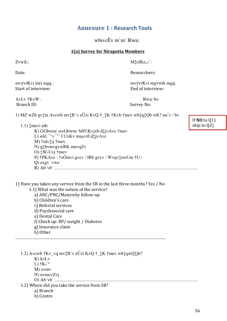# **Annexure 1: Research Tools**

whive  $\ddot{E}v$  m'm" Rwic

# 1(a) Survey for Nirapotta Members

ZvwiL:

Date:

 $M$ : elKe<sub>..</sub>...

Researchers:

mvÿvrKvi ïiæi mgq: Start of interview:

mvÿvrKvi mgvwßi mgq: End of interview:

kvLv †KvW: Branch ID:

Rwichs: Survey No:

1) MZ wZb gv $\uparrow$ m Avcwb mv $\uparrow$ R v eÜzi KvQ  $\dagger$   $\uparrow$ K  $\uparrow$ Kvb  $\uparrow$ mev wb $\uparrow$ q $\uparrow$ Qb wK? nu v / bv

 $1.1$ )  $\ddagger$ mevi aib:

K) GGbwm/wcGbwm/Mf©Kvjxb d‡jvAvc †mev L) wki $\sqrt{-y}$ <sup>-</sup> $\sqrt{y}$  I UxKv msuvšÍ d‡jvAvc M) †idv‡ij †mev N) g\*bvmvgvwRK mnvqZv O)  $\sharp W$ <sup> $\flat$ </sup>Uv<sub>j</sub>  $\dag$ mev P)  $\dagger$ PKAvc:  $\dagger$ cÖmvi gvcv / IRb gvcv / Wvqv $\dagger$ ewUm  $\dagger$ U $\div$  $Q$ ) exgv `vwe 

1) Have you taken any service from the SB in the last three months? Yes / No

1.1) What was the nature of the service? a) ANC/PNC/Maternity follow-up b) Children's care c) Referral services d) Psychosocial care e) Dental Care f) Check up: BP/weight / Diabetes g) Insurance claim h) Other

1.2) Avcwb  $\dagger$ Kv vq mv $\ddagger$ R'v eÜzi KvQ  $\dagger$   $\ddagger$ K  $\dagger$ mev wb $\dagger$ qwQ $\dagger$ jb? K) kvLv L)  $\dagger$ K)<sup>a</sup> M) evmv N) nvmcvZvj 1.2) Where did you take the service from SB? a) Branch b) Centre

If  $NO$  to  $O(1)$ skip to Q2)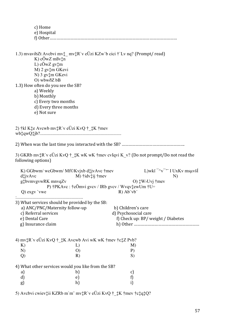|                            | c) Home<br>e) Hospital                                                                                                                                                                                                                                                                                                                                       |                                                                                             |                                                     |
|----------------------------|--------------------------------------------------------------------------------------------------------------------------------------------------------------------------------------------------------------------------------------------------------------------------------------------------------------------------------------------------------------|---------------------------------------------------------------------------------------------|-----------------------------------------------------|
|                            | 1.3) mvavibZt Avcbvi mv $\ddagger$ mv $\ddagger$ R v eŬzi KZw b cici $\ddagger$ Lv nq? (Prompt/ read)<br>K) $c\ddot{\theta}$ wZ m $\beta$ v $\ddagger$ n<br>L) cÖwZ gv‡m<br>M) 2 gv‡m GKevi<br>N) 3 gv‡m GKevi<br>O) wbwðZ bB<br>1.3) How often do you see the SB?<br>a) Weekly<br>b) Monthly<br>c) Every two months<br>d) Every three months<br>e) Not sure |                                                                                             |                                                     |
|                            | 2) $\frac{1}{k}$ kl K $\frac{1}{k}$ e Avcwb mv $\frac{1}{k}$ R`v eŬzi KvQ $\frac{1}{k}$ $\frac{1}{k}$ K $\frac{1}{k}$ mev                                                                                                                                                                                                                                    |                                                                                             |                                                     |
|                            |                                                                                                                                                                                                                                                                                                                                                              |                                                                                             |                                                     |
|                            | 3) GKRb mv: R`v eUzi KvQ † : K wK wK † mev cvIqvi K v? (Do not prompt/Do not read the<br>following options)                                                                                                                                                                                                                                                  |                                                                                             |                                                     |
| $d\ddagger jvAvc$          | K) GGbwm/wcGbwm/Mf©Kvjxb d‡jvAvc †mev<br>$M$ ) †idv $\ddagger$ ij †mev<br>g‡bvmvgvwRK mnvqZv<br>P) $\dagger$ PKAvc : $\dagger$ cÖmvi gvcv / IRb gvcv / Wvqv $\ddagger$ ewUm $\dagger$ U $\div$<br>$Q$ ) exgv `vwe                                                                                                                                            | O) $\sharp W$ <sup><math>\flat</math></sup> Uv <sub>i</sub> $\dag$ mev<br>$R)$ Ab $v$ b $v$ | L)wki $\sqrt{\nu}$ $\sqrt{\nu}$ I UxKv msuvšÍ<br>N) |
|                            | 3) What services should be provided by the SB:<br>a) ANC/PNC/Maternity follow-up<br>c) Referral services<br>e) Dental Care<br>g) Insurance claim                                                                                                                                                                                                             | b) Children's care<br>d) Psychosocial care<br>f) Check up: BP/ weight / Diabetes            |                                                     |
| K)<br>N)<br>$\overline{Q}$ | 4) $mv\ddagger R$ v eUzi KvQ $\ddagger$ $\ddagger K$ Avcwb Avi wK wK $\ddagger$ mev $\ddagger$ c $\ddagger$ Z Pvb?<br>L)<br>$\left($<br>R)                                                                                                                                                                                                                   | M)<br>P)<br>S)                                                                              |                                                     |
|                            | 4) What other services would you like from the SB?                                                                                                                                                                                                                                                                                                           |                                                                                             |                                                     |
| a)<br>d)                   | b)<br>e)                                                                                                                                                                                                                                                                                                                                                     | c)<br>f)                                                                                    |                                                     |
| g)                         | h)                                                                                                                                                                                                                                                                                                                                                           | i)                                                                                          |                                                     |

5) Avcbvi cwiev‡ii KZRb m`m¨ mv‡R`v eÜzi KvQ †\_‡K †mev †c‡q‡Q?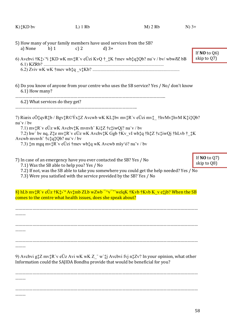| $K)$ <sup><math>*</math></sup> $KD$ by                                                                                                                                                                                                                                                                                                                                       | $L)$ 1 Rb          | $M$ ) 2 Rb                                                                                                                                                                        | $N$ ) 3+                         |
|------------------------------------------------------------------------------------------------------------------------------------------------------------------------------------------------------------------------------------------------------------------------------------------------------------------------------------------------------------------------------|--------------------|-----------------------------------------------------------------------------------------------------------------------------------------------------------------------------------|----------------------------------|
| 5) How many of your family members have used services from the SB?<br>a) None<br>b) $1$<br>$6.1)$ KZRb?                                                                                                                                                                                                                                                                      | c) $2$<br>$d$ ) 3+ | 6) Avcbvi $\dagger K \ddagger \nu^a$ i $\ddagger KD$ wK mv $\ddagger R$ 'v eŬzi KvQ $\dagger \ddagger \ddagger K$ $\dagger$ mev wb $\ddagger q \ddagger Qb$ ? nu v / bv/ wbwðZ bB | If $NO$ to $Q6$ )<br>skip to Q7) |
| 6.1) How many?<br>6.2) What services do they get?                                                                                                                                                                                                                                                                                                                            |                    | 6) Do you know of anyone from your centre who uses the SB service? Yes / No/ don't know<br>7) Riæix cÖ‡qvR‡b / Bgv‡R©Ýx‡Z Avcwb wK KL‡bv mv‡R`v eÜzi mv‡_†hvMv‡hvM K‡i‡Qb?        |                                  |
| $nu$ v / by<br>7.1) mv:R`v eÜz wK Avcbv:K mvnvh Ki:Z †c:tiwQj? nu v / bv<br>Avewb mvnvh $\text{tc}$ $\text{tc}$ $\text{tc}$ $\text{tc}$ $\text{lc}$ $\text{lb}$ ? nu v / bv<br>7.3) $\text{\text{Im}}$ mgq mv $\text{\text{Tr}}$ v e $\text{U}z$ i $\text{\text{Im}}$ we whtter when $\text{K}$ and $\text{K}$ and $\text{N}$ we $\text{U}$ and $\text{V}$ and $\text{V}$ by |                    | 7.2) hw' bv nq, Z‡e mv‡R'v eÜz wK Avcbv‡K Ggb †Kv_vI wb‡q †h‡Z †c‡iwQj †hLvb †_‡K                                                                                                 |                                  |
| 7) In case of an emergency have you ever contacted the SB? Yes / No<br>7.1) Was the SB able to help you? Yes / No<br>7.3) Were you satisfied with the service provided by the SB? Yes / No                                                                                                                                                                                   |                    | 7.2) If not, was the SB able to take you somewhere you could get the help needed? Yes / No                                                                                        | If $NO$ to $Q7)$<br>skip to Q8)  |
| comes to the centre what health issues, does she speak about?                                                                                                                                                                                                                                                                                                                |                    | 8) hLb mv‡R`v eÜz †K‡>` <sup>a</sup> Av‡mb ZLb wZwb <sup>-</sup> ^v <sup>--</sup> `"welqK †Kvb †Kvb K_v e‡jb? When the SB                                                         |                                  |
|                                                                                                                                                                                                                                                                                                                                                                              |                    |                                                                                                                                                                                   |                                  |
|                                                                                                                                                                                                                                                                                                                                                                              |                    | 9) Avcbvi g $\sharp Z$ mv $\sharp R$ v eÜz Avi wK wK Z with avcbvi fyj n $\sharp Z$ v? In your opinion, what other                                                                |                                  |
| Information could the SAJIDA Bondhu provide that would be beneficial for you?                                                                                                                                                                                                                                                                                                |                    |                                                                                                                                                                                   |                                  |
|                                                                                                                                                                                                                                                                                                                                                                              |                    |                                                                                                                                                                                   |                                  |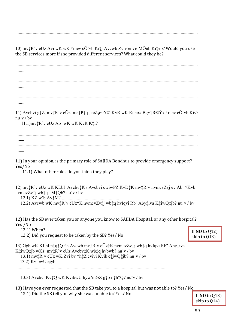……………………………………………………………………………………………………………………………………………

………

10) mv‡R`v eÜz Avi wK wK †mev cÖ`vb Ki‡j Avcwb Zv e¨envi/ MÖnb Ki‡eb? Would you use the SB services more if she provided different services? What could they be?

…………………………………………………………………………………………………………………………………………… ……… …………………………………………………………………………………………………………………………………………… ……… …………………………………………………………………………………………………………………………………………… ……… 11) Avcbvi g‡Z, mv‡R`v eÜzi me‡P‡q ¸iæZ¡c~Y© KvR wK Riæix/ Bgv‡R©Ýx †mev cÖ`vb Kiv? nu¨v / bv 11.1)mv‡R`v eÜz Ab¨ wK wK KvR K‡i? …………………………………………………………………………………………………………………………………………… …….. …………………………………………………………………………………………………………………………………………… …… 11) In your opinion, is the primary role of SAJIDA Bondhus to provide emergency support? Yes/No 11.1) What other roles do you think they play? 12) mv‡R`v eÜz wK KLbI Avcbv‡K / Avcbvi cwiwPZ KvD‡K mv‡R`v nvmcvZvj ev Ab¨ †Kvb nvmcvZv‡j wb‡q †M‡Qb? nu¨v / bv 12.1) KZ w`b Av‡M? .................................................. 12.2) Avcwb wK mv‡R`v eÜz†K nvmcvZv‡j wb‡q hvIqvi Rb¨ Aby‡iva K‡iwQ‡jb? nu¨v / bv 12) Has the SB ever taken you or anyone you know to SAJIDA Hospital, or any other hospital? Yes /No 12.1) When?...................................................... 12.2) Did you request to be taken by the SB? Yes/ No 13) Ggb wK KLbI n‡q‡Q †h Avcwb mv‡R`v eÜz†K nvmcvZv‡j wb‡q hvIqvi Rb¨ Aby‡iva K‡iwQ‡jb wKš' mv‡R`v eÜz Avcbv‡K wb‡q hvbwb? nu¨v / bv If **NO** to Q12) skip to Q13)

13.1) mv‡R`v eÜz wK Zvi bv †h‡Z cvivi Kvib e‡jwQ‡jb? nu¨v / bv 13.2) KvibwU ejyb

....................................................................................................................................

13.3) Avcbvi Kv $\ddagger Q$  wK KvibwU hyw<sup>3</sup>m½Z g $\ddagger b$  n $\ddagger h \ddagger Q$ ? nu v / bv

13) Have you ever requested that the SB take you to a hospital but was not able to? Yes/ No 13.1) Did the SB tell you why she was unable to? Yes/ No

If **NO** to Q13) skip to Q14)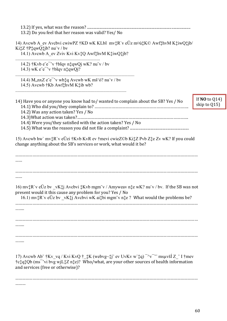| 13.2) Do you feel that her reason was valid? Yes/ No                                                                                                                                                                                                                                                                                                                                                              |                                    |
|-------------------------------------------------------------------------------------------------------------------------------------------------------------------------------------------------------------------------------------------------------------------------------------------------------------------------------------------------------------------------------------------------------------------|------------------------------------|
| 14) Avcwb A_ev Avcbvi cwiwPZ †KD wK KLbI mv:R v eÜz m¤ú:K© Awf:hvM K:tiwQ:tjb/<br>KitZ †PtqwQtjb? nu"v / bv<br>14.1) Avcwb A_ev Zviv Kvi Kv‡Q Awf‡hvM K‡iwQ‡jb?                                                                                                                                                                                                                                                   |                                    |
| 14.2) $\dagger$ Kvb e $e^-$ v $\dagger$ blqv n $\ddagger$ qwQj wK? nu v / bv<br>14.3) wK $e^-e^-v$ +blqv n $\frac{1}{2}$ gwQj?                                                                                                                                                                                                                                                                                    |                                    |
| 14.4) M, $nxZ e^-e^-v$ wb: q Avcwb wK mš'ó? nu v / bv<br>14.5) Avewb † Kb Awf‡hvM K‡ib wb?                                                                                                                                                                                                                                                                                                                        |                                    |
| 14) Have you or anyone you know had to/ wanted to complain about the SB? Yes / No<br>14.2) Was any action taken? Yes / No                                                                                                                                                                                                                                                                                         | If $NO$ to $Q14$ )<br>skip to Q15) |
| 14.4) Were you/they satisfied with the action taken? Yes / No                                                                                                                                                                                                                                                                                                                                                     |                                    |
| 15) Avewb hw' mv: R'v eÜzi † Kvb KvR ev † mevi cwie Z©b Ki; Z Pvb Z; e Zv wK? If you could<br>change anything about the SB's services or work, what would it be?                                                                                                                                                                                                                                                  |                                    |
|                                                                                                                                                                                                                                                                                                                                                                                                                   |                                    |
|                                                                                                                                                                                                                                                                                                                                                                                                                   |                                    |
| 16) mv: $R$ v eÜz bv vK: j Avcbvi :Kvb mgm v / Amyweav n: e wK? nu v / bv. If the SB was not<br>present would it this cause any problem for you? Yes / No<br>16.1) mv: R`v eÜz bv _vK: j Avcbvi wK ai: bi mgm v n: e ? What would the problems be?                                                                                                                                                                |                                    |
|                                                                                                                                                                                                                                                                                                                                                                                                                   |                                    |
|                                                                                                                                                                                                                                                                                                                                                                                                                   |                                    |
|                                                                                                                                                                                                                                                                                                                                                                                                                   |                                    |
| 17) Avcwb Ab" $\frac{1}{2}$ Kv_vq / Kvi KvQ $\frac{1}{2}$ K (webvg~ $\frac{1}{2}$ )" ev UvKv w' $\frac{1}{4}$ q) $\frac{1}{2}$ w $\frac{1}{2}$ " msuvšÍ Z "I $\frac{1}{2}$ mev<br>$\frac{\text{rct}}{\text{qt}}$ Qb (ms <sup>{--</sup> vi bvg wjL $\frac{\text{rct}}{\text{qt}}$ z n $\frac{\text{rct}}{\text{r}}$ )? Who/what, are your other sources of health information<br>and services (free or otherwise)? |                                    |
|                                                                                                                                                                                                                                                                                                                                                                                                                   |                                    |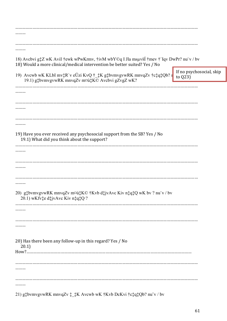| 18) Avcbvi g‡Z wK AviI †ewk wPwKrmv, †ivM wbY©q I Jla msµvšÍ †mev †`Iqv DwPr? nu¨v / bv<br>18) Would a more clinical/medical intervention be better suited? Yes / No |                                                   |
|----------------------------------------------------------------------------------------------------------------------------------------------------------------------|---------------------------------------------------|
| 19) Avcwb wK KLbI mv‡R`v eÜzi KvQ †_‡K g‡bvmvgvwRK mnvqZv †c‡q‡Qb? r<br>19.1) g‡bvmvgvwRK mnvqZv m¤ú‡K© Avcbvi gZvgZ wK?                                             | If no psychosocial, skip<br>to $\left( 23\right)$ |
|                                                                                                                                                                      |                                                   |
|                                                                                                                                                                      |                                                   |
|                                                                                                                                                                      |                                                   |
|                                                                                                                                                                      |                                                   |
|                                                                                                                                                                      |                                                   |
| 19) Have you ever received any psychosocial support from the SB? Yes / No<br>19.1) What did you think about the support?                                             |                                                   |
|                                                                                                                                                                      |                                                   |
|                                                                                                                                                                      |                                                   |
|                                                                                                                                                                      |                                                   |
|                                                                                                                                                                      |                                                   |
|                                                                                                                                                                      |                                                   |
| 20) g‡bvmvgvwRK mnvqZv m¤ú‡K© †Kvb d‡jvAvc Kiv n‡q‡Q wK bv ? nu v / bv<br>20.1) wKfv‡e d‡jvAvc Kiv n‡q‡Q?                                                            |                                                   |
|                                                                                                                                                                      |                                                   |
|                                                                                                                                                                      |                                                   |
|                                                                                                                                                                      |                                                   |
|                                                                                                                                                                      |                                                   |
| 20) Has there been any follow-up in this regard? Yes / No<br>20.1)                                                                                                   |                                                   |
|                                                                                                                                                                      |                                                   |
|                                                                                                                                                                      |                                                   |
|                                                                                                                                                                      |                                                   |
|                                                                                                                                                                      |                                                   |
|                                                                                                                                                                      |                                                   |
| 21) g*bvmvgvwRK mnvqZv * * * K Avcwb wK * Kvb DcKvi * c* q* Qb? nu v / bv                                                                                            |                                                   |

61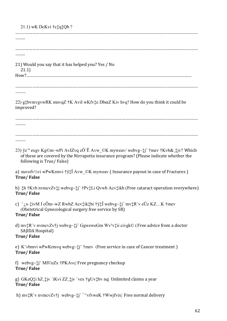| $21.1)$ wK DcKvi † $ctq$ ‡Qb ?                                                                                                                                                                                                                    |
|---------------------------------------------------------------------------------------------------------------------------------------------------------------------------------------------------------------------------------------------------|
|                                                                                                                                                                                                                                                   |
|                                                                                                                                                                                                                                                   |
|                                                                                                                                                                                                                                                   |
|                                                                                                                                                                                                                                                   |
| 21) Would you say that it has helped you? Yes / No<br>21.1)                                                                                                                                                                                       |
|                                                                                                                                                                                                                                                   |
|                                                                                                                                                                                                                                                   |
|                                                                                                                                                                                                                                                   |
| 22) g‡bvmvgvwRK mnvqZ †K AviI wKfv‡e DbœZ Kiv hvq? How do you think it could be<br>improved?                                                                                                                                                      |
|                                                                                                                                                                                                                                                   |
|                                                                                                                                                                                                                                                   |
|                                                                                                                                                                                                                                                   |
| 23) ÿz` <sup>a</sup> exgv Kg©m~wPi AvIZvq cÖ`Ë Avw_©K myweav/ webvg~‡j¨ †mev †Kvb&,‡jv? Which<br>of these are covered by the Nirrapotta insurance program? (Please indicate whether the<br>following is True/False)                               |
| a) nuvofv½vi wPwKrmvi †ÿ‡Î Avw ©K myweav (Insurance payout in case of Fractures)<br><b>True/False</b>                                                                                                                                             |
| b) #h †Kvb nvmcvZv#j webvg~#j¨ †Pv#Li Qvwb Acv#ikb (Free cataract operation everywhere)<br><b>True/False</b>                                                                                                                                      |
| c) $\bar{a}$ x- $\frac{1}{4}$ ivM I cÖm~wZ RwbZ Acv $\frac{1}{4}$ ik $\frac{1}{4}$ bi †y $\frac{1}{4}$ Î webvg~ $\frac{1}{4}$ j" mv $\frac{1}{4}$ R`v eÜz KZK †mev<br>(Obstetrical Gynecological surgery free service by SB)<br><b>True/False</b> |
| d) $mv_*^*R$ 'v nvmcvZv†j webvg~ $\ddagger$ j' GgweweGm Wv <sup>3</sup> v $\ddagger$ ii civgk© (Free advice from a doctor<br>SAJIDA Hospital)<br><b>True/False</b>                                                                                |
| e) K vbmvi wPwKrmvq webvg~ $\ddagger$ j †mev (Free service in case of Cancer treatment)<br><b>True/False</b>                                                                                                                                      |
| f) webvg~ $\ddagger$ j" Mf©eZx †PKAvc  Free pregnancy checkup<br><b>True/False</b>                                                                                                                                                                |
| g) GKeQ‡i hZ,‡jv `iKvi ZZ,‡jv `vex †gUv‡bv nq  Unlimited claims a year<br>Two / Folco                                                                                                                                                             |

**True/ False**

h) mv‡R`v nvmcvZv†j webvg~‡j ^^vfvweK †Wwjfvix| Free normal delivery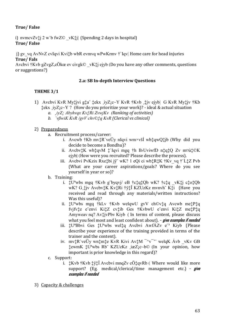# **True/ False**

i) nvmcvZv $\ddagger$ i 2 w'b fwZ© vK $\ddagger$ i| (Spending 2 days in hospital) **True/ False**

j) gv\_vq AvNvZ cvIqvi Kvi $\ddagger$ b wbR evmvq wPwKrmv †`Iqv| Home care for head injuries **True/ Fals**

Avcbvi †Kvb gZvgZ, cÖkœ ev civgk© vK‡j ejyb (Do you have any other comments, questions or suggestions?)

# **2.a: SB In-depth Interview Questions**

# **THEME 3/1**

- 1) Avcbvi KvR My‡jvi g‡a¨ ‡ekx ¸iyZ¡c~Y KvR †Kvb ¸‡jv ejyb| G KvR My‡jv †Kb  $\text{tekx}$   $\text{ivZ}_i \text{c} \sim Y$  ? (How do you prioritize your work)? - ideal & actual situation
	- *a. ¸iyZ¡ Abyhvqx Kv‡Ri ZvwjKv (Ranking of activities)*
	- *b. `vßwiK KvR /gvV chv©‡q KvR (Clerical vs clinical)*

# 2) Preparedness

- a. Recruitment process/career:
	- i. Avcwb †Kb mv‡R`veÜy nIqvi wm×všÍ wb‡qwQ‡jb (Why did you decide to become a Bondhu)?
	- ii. Avcbv‡K wb‡qvM ‡`Iqvi mgq †h B>UviwfD n‡q‡Q Zv m¤ú‡©K ejyb| (How were you recruited? Please describe the process).
	- iii. Avcbvi PvKzix Rxe‡bi jÿ¨ wK? 1 eQi ci wb‡R‡K †Kv\_vq †`L‡Z Pvb (What are your career aspirations/goals? Where do you see yourself in year or so)?
- b. Training:
	- i.  $\ddagger U^2$ wbs mgq †Kvb g byqvj/ eB †c $\ddagger$ q $\ddagger$ Qb wK? †c $\ddagger$ q vK $\ddagger$ j c $\ddagger$ o $\ddagger$ Qb wK? G¸‡jv Avcbv‡K Kv‡Ri †ÿ‡Î KZUzKz mvnvh¨ K‡i (Have you received and read through any materials/written instructions? Was this useful)?
	- ii. ‡Uªwbs mgq †kLv †Kvb welqwU gvV ch©v‡q Avcwb me‡P‡q fvjfv‡e e¨envi Ki‡Z cv‡ib Ges †KvbwU e¨envi Ki‡Z me‡P‡q Amyweav nq? Av‡jvPbv Kiyb ( In terms of content, please discuss what you feel most and least confident about). – **give examples if needed**
	- iii. ‡UªBbvi Ges ‡Uªwbs wel‡q Avcbvi AwfÁZv e¨³ Kiyb (Please describe your experience of the training provided in terms of the trainer and the content).
	- iv. mv $R$ 'veÜy wn $\text{im}$ te KvR Kivi Av $\text{im}$ <sup>- $\sim$ </sup>v<sup> $\sim$ </sup>" welqK Ávb vKv GB ‡ewmK ‡Uªwbs Rb¨ KZUzKz ¸iæZ¡c~b© (In your opinion, how important is prior knowledge in this regard)?
- c. Support:
	- i. ‡Kvb †Kvb ‡ÿ‡Î Avcbvi mnqZv cÖ‡qvRb ( Where would like more support? (Eg. medical/clerical/time management etc.) – **give examples if needed**
- 3) Capacity & challenges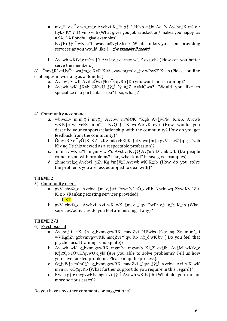- a. mv:R`v eÜz wn:m: e Avcbvi K:Ri g: a †Kvb ai: bi Ae v Avcbv:K mš'ó / Lykx K $\ddagger$ i? D'vnib w'b (What gives you job satisfaction/ makes you happy as a SAJIDA Bondhu, give examples)
- i. Kv<sup>†</sup>Ri †ÿ†Î wK ai‡bi evavi m¤§yLxb nb (What hinders you from providing services as you would like ) - give examples if needed
- b. Avcwb wKfv $\ddagger$ e m'm' $\ddagger$ 'i AviI fv $\ddagger$ jv  $\ddagger$ mev w' $\ddagger$ Z cvi $\ddagger$ eb? (How can you better serve the members ).

8)  $\tilde{O}$ mv $\ddagger$ R`ve $\tilde{U}$ y $\tilde{O}$  wn $\ddagger$ m $\ddagger$ e KvR Kivi evav/mgm v  $\ddagger$ jv wPwýZ Kiæb (Please outline challenges in working as a Bondhu)

- a. Avcbyt'v wK Avil cÖwkyb cÖtgyRb (Do you want more training)?
- b. Avcwb wK  $\sharp$ Kvb GKwU  $\sharp$ y $\sharp$ i `y n $\sharp$ Z AvMÖwn? (Would you like to specialize in a particular area? If so, what)?
- 4) Community acceptance
	- a. wbivcËv m'm'<sup>+</sup>'i mv<sup>+</sup> Avcbvi m¤ú©K †Kgb Av<sup>+</sup>jvPbv Kiæb. Avcwb wKfvte wbivcEv m'm t'i KvQ t tK wdWe vK cvb (How would you describe your rapport/relationship with the community? How do you get feedback from the community)?
	- b.  $\tilde{O}mv^*$ R've $\tilde{U}y\tilde{O}$ <sup>\*</sup>K KZUzKz m¤§vbRbK †ckv wn\*m\*e gvV chv©\*q g~j"vqb Kiv nq (Is this viewed as a respectable profession)?
	- c. m'm'iv wK ai $\ddagger$ bi mgm'v wb $\ddagger$ q Avcbvi Kv $\ddagger$ Q Av $\ddagger$ m? D'vnib w'b (Do people come to you with problems? If so, what kind? Please give examples).
	- d. thme welt q Avcbvi 'yZv Kg  $\uparrow$ mtyt $\hat{I}$  Avcwb wK Ktib (How do you solve the problems you are less equipped to deal with)?

# **THEME 2**

- 5) Community needs
	- a. gvV chv©‡q Avcbvi ‡mev tivi Pvwn`v/ cÖ‡qvRb Abyhvwq ZvwjKv <sup>2</sup>Zix Kiæb (Ranking existing services provided) **LIST**
	- b. gvV chv©tq Avcbvi Avi wK wK tmev t`qv DwPr etj gtb Ktib (What services/activities do you feel are missing, if any)?

# THEME 2/3

- 6) Psychosocial
	- a. Avcbyt'i  $\dagger K$   $\dagger h$  gtbymygywRK mnqZvi  $\dagger U^2$ wbs  $\dagger$ 'qv nq Zv m'm't'i wVKg: Zv g: bvmvgvwRK mnqZvi † qvi Rb h: 6 wK bv (Do you feel that psychosocial training is adequate)?
	- b. Avcwb wK gtbymygywRK mgm vi mgyayb KitZ cytib, AvtM wKfyte KtitQb cOwK<sup>a</sup>qvwU ejyb| (Are you able to solve problems? Tell us how you have tackled problems. Please map the process).
	- c. fvtjvfvte m`m`t`i gtbvmvgvwRK mnqZvi t`qvi tytÎ Avcbvi Avi wK wK mynyh" cÖ $t$ gyRb (What further support do you require in this regard)?
	- d. RwUj g $\pm$ bvmvgvwRK mgm vi  $\pm \nu \pm \hat{i}$  Avcwb wK K $\pm i$ b (What do you do for more serious cases)?

Do you have any other comments or suggestions?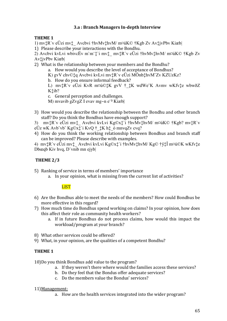# **3.a : Branch Managers In-depth Interview**

# **THEME 1**

1) mv‡R`v eÜzi mv‡\_ Avcbvi †hvMv‡hvM/ m¤úK© †Kgb Zv Av‡jvPbv Kiæb|

1) Please describe your interactions with the Bondhu.

2) Avcbvi kvLvi wbivcËv m`m¨‡`i mv‡\_ mv‡R`v eÜzi †hvMv‡hvM/ m¤úK© †Kgb Zv Av‡jvPbv Kiæb|

2) What is the relationship between your members and the Bondhu?

a. How would you describe the level of acceptance of Bondhus?

K) gvV chv©‡q Avcbvi kvLvi mv‡R`v eÜzi MÖnb‡hvM¨Zv KZUzKz?

b. How do you ensure informal feedback?

L) mv‡R`v eÜzi KvR m¤ú©‡K gvV † ‡K wdWe¨K Avmv wKfv±e wbwðZ K‡ib?

c. General perception and challenges.

M) mvavib gZvgZ I evav mg~n e<sup>3</sup> Kiæb

3) How would you describe the relationship between the Bondhu and other branch staff? Do you think the Bondhus have enough support?

3) mv‡R`v eÜzi mv‡\_ Avcbvi kvLvi Kg©x‡`i †hvMv‡hvM/ m¤úK© †Kgb? mv‡R`v eÜz wK Avb¨vb¨ Kg©x $\ddagger$ `i KvQ  $\dagger$   $\ddagger$ K h $\ddagger$  ó mnvqZv cvq?

4) How do you think the working relationship between Bondhus and branch staff can be improved? Please describe with examples.

4) mv‡R`v eÜzi mv‡\_ Avcbvi kvLvi Kg©x‡`i †hvMv‡hvM/ Kg© †ÿ‡Î m¤ú©K wKfv‡e Dbœqb Kiv hvq, D`vnib mn ejyb|

# **THEME 2/3**

5) Ranking of service in terms of members' importance

a. In your opinion, what is missing from the current list of activities?

# **LIST**

- 6) Are the Bondhus able to meet the needs of the members? How could Bondhus be more effective in this regard?
- 7) How much time do Bondhus spend working on claims? In your opinion, how does this affect their role as community health workers?
	- a. If in future Bondhus do not process claims, how would this impact the workload/program at your branch?
- 8) What other services could be offered?
- 9) What, in your opinion, are the qualities of a competent Bondhu?

# **THEME 1**

10)Do you think Bondhus add value to the program?

- a. If they weren't there where would the families access these services?
- b. Do they feel that the Bondus offer adequate services?
- c. Do the members value the Bondus' services?

# 11)Management:

a. How are the health services integrated into the wider program?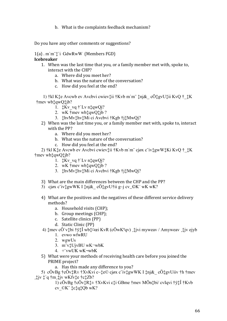b. What is the complaints feedback mechanism?

Do you have any other comments or suggestions?

1(a) . m`m¨‡`i GdwRwW (Members FGD) **Icebreaker** 

- 1. When was the last time that you, or a family member met with, spoke to, interact with the CHP?
	- a. Where did you meet her?
	- b. What was the nature of the conversation?
	- c. How did you feel at the end?

 1) †kl K‡e Avcwb ev Avcbvi cwiev‡ii †Kvb m`m¨ ‡nj&\_ cÖ‡gvU‡ii KvQ †\_‡K †mev wb‡qwQ‡jb?

- 1.  $\sharp$ Kv vq  $\dag$ `Lv n $\sharp$ qwQj?
- 2. wK †mev wb‡qwQ‡jb ?
- 3. ‡hvMv‡hv‡Mi ci Avcbvi †Kgb †j‡MwQj?
- 2) When was the last time you, or a family member met with, spoke to, interact with the PP?
	- a. Where did you meet her?
	- b. What was the nature of the conversation?
	- c. How did you feel at the end?

 2) †kl K‡e Avcwb ev Avcbvi cwiev‡ii †Kvb m`m¨ cjøx c¨iv‡gwW‡Ki KvQ †\_‡K †mev wb‡qwQ‡jb?

- 1.  $\sharp$ Kv vq †`Lv n $\sharp$ qwQj?
- 2. wK †mev wb‡qwQ‡jb ?
- 3. ‡hvMv‡hv‡Mi ci Avcbvi †Kgb †j‡MwQj?
- 3) What are the main differences between the CHP and the PP?
- 3) cjøx c iv $\text{t}$ gwWK I  $\text{tni}\&\text{cÖt}$ gvU $\text{t}$ ii g~j cv $\text{CK}$  wK wK?
- 4) What are the positives and the negatives of these different service delivery methods?
	- a. Household visits (CHP);
	- b. Group meetings (CHP);
	- c. Satellite clinics (PP)
	- d. Static Clinic (PP)
- 4)  $\frac{1}{4}$ mev cÖ`v $\frac{1}{4}$ bi †y $\frac{1}{4}$ i wb $\frac{1}{4}$ ¤ei KvR (cÖwK<sup>a</sup>qv)  $\frac{1}{4}$ jvi myweav / Amyweav  $\frac{1}{4}$ jv ejyb
	- 1. evwo wfwRU
	- 2. wgwUs
	- 3. m¨v‡UjvBU wK¬wbK
	- 4. ÷¨vwUK wK¬wbK
- 5) What were your methods of receiving health care before you joined the PRIME project?

a. Has this made any difference to you?

5) cÖvBg  $\uparrow$ cÖv $\uparrow$ R $\pm \uparrow$ XvKvi c $\sim \uparrow$ e $\circ$  cjøx c $\vee$ iv $\downarrow$ gwWK I  $\downarrow$ nj $\&$  cÖ $\downarrow$ gvUiiv  $\uparrow$ h  $\uparrow$ mev ¸‡jv ‡`q †m¸‡jv wKfv‡e †c‡Zb?

1) cÖvBg †cÖv‡R‡± †XvKvi c‡i GBme †mev MÖn‡bi/ cvIqvi †ÿ‡Î †Kvb cv\_©K¨ ‡c‡q‡Qb wK?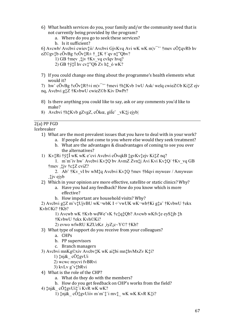- 6) What health services do you, your family and/or the community need that is not currently being provided by the program?
	- a. Where do you go to seek these services?
	- b. Is it sufficient?

6) Avcwb/ Avcbvi cwiev $\ddagger$ ii/ Avcbvi GjvKvq Avi wK wK m $v^{-1}$  † mev c $\ddot{O}$  $\ddagger$ gvRb hv eZ©gv‡b cÖvBg †cÖv‡R± †  $\sharp$ K † qv n $\sharp$ "Qbv?

- 1) GB  $\uparrow$ mev  $\downarrow \downarrow$ jv  $\uparrow$ Kv vq cvIqv hvq?
- 2) GB  $\ddagger$ y $\ddagger$ Î hv cv $\ddagger$ "Qb Zv h $\ddagger$ \_o wK?
- 7) If you could change one thing about the programme's health elements what would it?
- 7) hw`c $\ddot{O}$ vBg  $\ddagger$ c $\ddot{O}$ v $\ddagger$ R $\ddagger$  $\pm$ i m $\vert v \vert$ <sup>-</sup>  $\ddot{v}$   $\uparrow$  mevi  $\ddagger$ h $\ddagger$ Kvb 1wU Ask/ welq cwieZ©b Ki $\ddagger$ Z ejv
- ng, Avcbvi g $\sharp Z \sharp K$ vbwU cwieZ©b Kiv DwPr?
- 8) Is there anything you could like to say, ask or any comments you'd like to make?
- 8) Avcbyi †h<sup>†</sup>Kyb gZygZ, cÖkœ, gšĺe vK<sup>†</sup>i ejybl

# $2(a)$  PP FGD

Icebreaker

- 1) What are the most prevalent issues that you have to deal with in your work?
	- a. If people did not come to you where else would they seek treatment?
	- b. What are the advantages & disadvantages of coming to see you over the alternatives?
- 1) Kv<sup>+</sup>Ri †y<sup>+</sup>Î wK wK e cvi Avcbvi cÖvqkB ‡gvKv‡ejv Ki‡Z nq?
	- 1. m'm'iv hw' Avcbvi Kv<sup>†</sup>Q by AvmZ Zvn‡j Avi Kvi Kv<sup>†</sup>Q/ †Kv vq GB *i* mev tiv *i* ctZ cviZ?
	- $\ddagger$ jvejyb
- 2) Which in your opinion are more effective, satellite or static clinics? Why?
	- a. Have you had any feedback? How do you know which is more effective?
	- b. How important are household visits? Why?

2) Avcbvi g‡Z m v‡UjvBU wK¬wbK I ÷ vwUK wK¬wb†Ki g‡a †KvbwU †ekx Kyh©Ki? †Kb?

1) Avewb wK †Kvb wdWe vK †ctqtQb? Avewb wKfvte eyStjb th *†KvbwU* †ekx Kvh©Ki?

2) evwo wfwRU KZUzKz jyZjc~Y©? †Kb?

- 3) What type of support do you receive from your colleagues?
	- a. CHPs
	- b. PP supervisors
	- c. Branch managers
- 3) Avcbvi mnKg©xiv Avcbv‡K wK ai‡bi mn‡hvMxZv K‡i?
	- 1)  $\frac{1}{2}$ nj& cÖ $\frac{1}{2}$ gvUi
	- 2) wewe myevi fvBRvi
	- 3) kvLv g"vtbRvi
- 4) What is the role of the CHP?
	- a. What do they do with the members?
	- b. How do you get feedback on CHP's works from the field?
- 4)  $\uparrow$ nj& cÖ $\uparrow$ gvUi $\uparrow$ 'i KvR wK wK?
	- 1)  $\phi$  cO $\phi$ y Uiiv m'm  $\ddagger$  i mv $\ddagger$  wK wK KvR K $\ddagger$ i?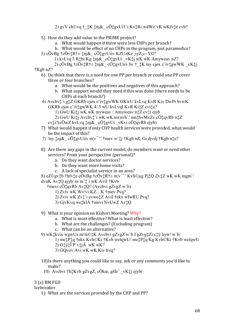2)  $g_{\rm V}$ V ch©vq †  $\ddagger$ K $\ddagger$ nj& cÖ $\ddagger$ gvUi†`i Kv $\ddagger$ Ri wdWe vK wKfv $\ddagger$ e cvb?

- 5) How do they add value to the PRIME project?
	- a. What would happen if there were less CHPs per branch?
	- b. What would be effect of no CHPs in the program, just paramedics?
- 5) c $\ddot{\text{O}}$ vBg  $\dot{\text{t}}$ c $\ddot{\text{O}}$ v $\dot{\text{t}}$ R $\dot{\text{t}}$   $\pm$   $\dot{\text{t}}$ nj $\&$  c $\ddot{\text{O}}$  $\dot{\text{t}}$ gvUiiv KZUzKz  $\dot{\text{1}}$ yZ $\dot{\text{1}}$ c~Y $\odot$ ?
	- 1) kvLvq 3 R‡bi Kg ‡nj&\_cÖ‡gvUi \_vK‡j wK wK Amyweav nZ?
- 2) cÖvBg †cÖv‡R†± ‡nj&\_cÖ‡gvUiiv bv †\_‡K ïay cjøx c iv‡gwWK\_vK‡j †Kgb nZ?
	- 6) Do think that there is a need for one PP per branch or could one PP cover three or four branches?
		- a. What would be the positives and negatives of this approach?
		- b. What support would they need if this was done (there needs to be CHPs at each branch?)
	- 6) Avcbvt i gtZ GKRb cjøx c ivtgwWK GKwU kvLvq KvR Kiv DwPr bvwK GKRb cjøx c'ivtgwWK 4/5 wU kvLvqI KvR KitZ cvite?
		- 1) GwU Kiti wK wK myweav / Amyweav ntZ cvti ejyb
		- 2) GwU Kitj Avcbvt i wK wK mvnvh / mnthvMxZv cOtqvRb ntZ
		- $cv^{\dagger}_{\mu}$ i?(cÖwZ kvLvq  $\ddagger$ nj& cÖ $\ddagger$ gvUi vKvi cÖ $\ddagger$ qvRb ejyb)
	- 7) What would happen if only CHP health services were provided, what would be the impact of this?
	- 7) ïay  $\frac{1}{4}$ nj& cÖ $\frac{1}{4}$ gvUiiv m|v<sup>--</sup>  $\frac{1}{4}$  mev w` $\frac{1}{4}$ j  $\frac{1}{4}$ Kgb nZ, Gi djvdj  $\frac{1}{4}$ Kgb n $\frac{1}{4}$ e?
	- 8) Are there any gaps in the current model, do members want or need other services? From your perspective (personal)?
		- a. Do they want doctor services?
		- b. Do they want more home visits?
		- c. A lack of specialist service in an area?

8) eZ©gv‡b †hfv‡e cÖvBg †cÖv‡R† $\pm$  m|v<sup>--</sup> Kvh©µg Pj‡Q Zv‡Z wK wK mgm<sup>-/</sup> dvuK Av<sup>†</sup>Q ejyb| m`m<sup>-</sup>†`i wK AviI †Kvb

†mevi cÖ‡qvRb Av‡Q? (Avcbvi gZvgZ w`b)

- 1) Zviv wK Wv<sup>3</sup>vi KZ...K †mev Pvq?
- 2) Zviv wK Zv<sup>+</sup> i evwo<sup>+</sup>Z AviI †ekx wfwRU Pvq?
- 3) GjvKvq we‡klÁ †mevi NvUwZ Av‡Q
- 9) What is your opinion on Kishori Meeting? Why?
	- a. What is most effective? What is least effective?
	- b. What are the challenges? (Excluding program)
	- c. What can be an alternative?
- 9) wK $\ddagger$ kvix wgwUs m¤ú© $\ddagger$ K Avcbvi gZvgZ w`b I gZvg $\ddagger$ Zi c $\ddagger$ ÿhyw<sup>3</sup> w`b|
	- 1) metPtq tekx Kvh©Ki tKvb welqwU/metPtq Kg Kvh©Ki tKvb welqwU
	- 2) G $\ddagger$ y $\ddagger$ Î P v $\ddagger$ j $\ddot{A}$  wK wK?
	- 3) GQvov Avi wK wK Kiv hvq?
- 10) Is there anything you could like to say, ask or any comments you'd like to make?
- 10) Avebvi †h‡Kvb gZvgZ, cÖkœ, gšĺe vK‡j ejyb

3 (a) BM FGD

Icebreaker

1) What are the services provided by the CHP and PP?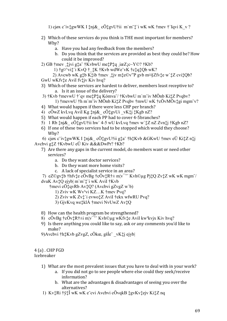1) cjøx c ivtgwWK I tnj& c $\ddot{O}$ tgvU fii m'm t'i wK wK tmev t'Iqvi K v?

- 2) Which of these services do you think is THE most important for members? Why?
	- a. Have you had any feedback from the members?
	- b. Do you think that the services are provided as best they could be? How could it be improved?
- 2) GB †mev ,‡jvi g‡a" †KvbwU me‡P‡q ,iæZjc~Y©? †Kb?
	- 1)  $\frac{1}{2}$   $\frac{1}{2}$   $\frac{1}{2}$   $\frac{1}{2}$   $\frac{1}{2}$   $\frac{1}{2}$   $\frac{1}{2}$   $\frac{1}{2}$   $\frac{1}{2}$   $\frac{1}{2}$   $\frac{1}{2}$   $\frac{1}{2}$   $\frac{1}{2}$   $\frac{1}{2}$   $\frac{1}{2}$   $\frac{1}{2}$   $\frac{1}{2}$   $\frac{1}{2}$   $\frac{1}{2}$   $\frac{1}{2}$   $\frac{1}{2}$   $\frac{1}{2}$
- 2) Avewb wK gtb Ktib +mev tiv mte©v"P gvb m¤§Zfvte w tZ cvitQb? GwU wKfv‡e Avil fv‡jv Kiv hvq?
- 3) Which of these services are hardest to deliver, members least receptive to? a. Is it an issue of the delivery?
- 3) †Kvb †mevwU †`qv me‡P‡q Kómva<sup>-/</sup> †KvbwU m`m<sup>-</sup>iv MÖnb Ki‡Z Pvqbv? 1)  $\frac{1}{2}$  mevwU  $\frac{1}{2}$ h m'm"iv MÖnb Ki $\frac{1}{2}$ Z Pvqbv  $\frac{1}{2}$ mwU wK  $\frac{1}{2}$ cÖvMÖv $\frac{1}{2}$ gi mgm"v?
- 4) What would happen if there were less CHP per branch?
- 4) cÖwZ kvLvq Avil Kg tnj& cÖtgvUi vKtj tKgb nZ?
- 5) What would happen if each PP had to cover 4-5branches?
- 5) 1 Rb  $\text{tni}\&\text{cÖt}$ gvU†ii hw' 4-5 wU kvLvq †mev w' $\text{tZ }$  nZ Zvn $\text{t}$ i †Kgb nZ?
- 6) If one of these two services had to be stopped which would they choose? Why?

6) cjøx c'ivtgwWK I tnj& cÖtgvUtii gta thtKvb & GKwU tmev eÜ KitZ ntj Avcbvi g $\sharp Z \dagger$ KvbwU eÜ Kiv &&&DwPr?  $\dagger$ Kb?

- 7) Are there any gaps in the current model, do members want or need other services?
	- a. Do they want doctor services?
	- b. Do they want more home visits?
	- c. A lack of specialist service in an area?

7) eZ©gv‡b †hfv‡e cÖvBg †cÖv‡R† $\pm$  m|v<sup>--</sup> Kvh©ug Pj‡Q Zv‡Z wK wK mgm<sup>-/</sup> dvuK Av<sup>†</sup>Q ejyb| m`m<sup>-</sup>†`i wK AviI †Kvb

†mevi cÖ $\ddagger$ qvRb Av $\ddagger$ Q? (Avcbvi gZvgZ w`b)

- 1) Zviv wK Wv<sup>3</sup>vi KZ...K †mev Pvq?
- 2) Zviv wK Zv:\* i evwo:\* Z Avil † ekx wfwRU Pvq?
- 3) GjvKvq we‡klÁ †mevi NyUwZ Av‡Q
- 8) How can the health program be strengthened?
- 8) c $\ddot{\text{O}}$ vBg †c $\ddot{\text{O}}$ v $\ddagger$ R† $\pm$ i m $|v^{-}$  Kvh $\odot$ µg wKfv $\ddagger$ e AviI kw<sup>3</sup>kvjx Kiv hvq?
- 9) Is there anything you could like to say, ask or any comments you'd like to make?
- 9) Avcbvi † h $\sharp$ Kvb gZvgZ, cÖkœ, gšĺe vK $\sharp$ j ejyb

#### $4(a)$ . CHP FGD Icebreaker

- 1) What are the most prevalent issues that you have to deal with in your work?
	- a. If you did not go to see people where else could they seek/receive information?
	- b. What are the advantages & disadvantages of seeing you over the alternatives?
- 1) Kv‡Ri †ÿ‡Î wK wK e cvi Avcbvi cÖvqkB ‡gvKv‡ejv Ki‡Z nq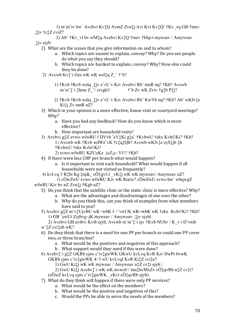1) m`m¨iv hw` Avcbvi Kv‡Q AvmZ Zvn‡j Avi Kvi Kv‡Q/ †Kv\_vq GB †mev ¸‡jv †c‡Z cviZ?

 2) Ab¨ †Kv\_vI bv wM‡q Avcbvi Kv‡Q †mev †bIqvi myweav / Amyweav ¸‡jv ejyb

- 2) What are the issues that you give information on and to whom?
	- a. Which topics are easiest to explain, convey? Why? Do you see people do what you say they should?
	- b. Which topics are hardest to explain, convey? Why? How else could they be done?
- 2) Avcwb Kv $\ddagger$  i Ges wK wK wel $\ddagger$ q Z  $\ddagger$  † $\ddagger$ b?
	- 1) †Kvb †Kvb welq , $\ddagger$ jv e vL v Kiv Avcbvi Rb mnR nq? †Kb? Avcwb m'm  $\ddagger$ '  $\ddagger$  thme Z  $\dot{\phantom{1}}$  / civgk©  $\ddagger$ ' b Zv wK Zviv †g $\ddagger$ b P $\ddagger$ j? m`m¨ $\ddagger$ `i  $\ddagger$ hme Z "/ civgk $\odot$
	- 2) †Kvb †Kvb welq ¸‡jv e¨vL¨v Kiv Avcbvi Rb¨ KwVb nq? †Kb? Ab¨ wKfv‡e Ki‡j Zv mnR nZ?
- 3) Which in your opinion is a more effective, house visit or courtyard meetings? Why?
	- a. Have you had any feedback? How do you know which is more effective?
	- b. How important are household visits?
- 3) Avcbvi g‡Z evwo wfwRU I DVvb ˆeV‡Ki g‡a¨ †KvbwU †ekx Kvh©Ki? †Kb? 1) Avcwb wK †Kvb wdWe¨vK †c‡q‡Qb? Avcwb wKfv‡e eyS‡jb ‡h †KvbwU †ekx Kvh©Ki?
	- 2) evwo wfwRU KZUzKz ¸iyZ¡c~Y©? †Kb?
- 4) If there were less CHP per branch what would happen?
	- a. Is it important to visit each household? What would happen if all households were not visited as frequently?
- 4) kvLvq 3 R‡bi Kg ‡nj&\_ cÖ‡gvUi \_vK‡j wK wK myweav/ Amyweav nZ? 1) cÖwZwU evwo wfwRU Kiv wK Riæix? cÖwZwU evwo hw` wbqwgZ
- wfwRU Kiv bv nZ Zvn‡j †Kgb nZ?
	- 5) Do you think that the satellite clinic or the static clinic is more effective? Why?
		- a. What are the advantages and disadvantages of one over the other?
		- b. Why do you think this, can you think of examples from what members have said to you?
	- 5) Avcbvi g‡Z m¨v‡UjvBU wK¬wbK I ÷¨vwUK wK¬wbK wK †ekx Kvh©Ki? †Kb? 1) GB `ywUi Zzjbvg~jK myweav / Amyweav ¸‡jv ejyb|
	- 2) Avcbvi GB avibvi Kvib ejyb, Avcwb m`m¨‡`i ejv †Kvb NUbv / K\_v i D`vnib w`‡Z cvi‡eb wK?
	- 6) Do they think that there is a need for one PP per branch or could one PP cover two, or three branches?
		- a. What would be the positives and negatives of this approach?
		- b. What support would they need if this were done?
	- 6) Avcbv‡`i g‡Z GKRb cjøx c¨iv‡gwWK GKwU kvLvq KvR Kiv DwPr bvwK GKRb cjøx c¨iv‡gwWK 4/ 5 wU kvLvqI KvR Ki‡Z cvi‡e?
		- 1) GwU Ki‡j wK wK myweav / Amyweav n‡Z cv‡i ejyb |
		- 2) GwU Ki‡j Avcbv‡`i wK wK mvnvh¨/ mn‡hvMxZv cÖ‡qvRb n‡Z cv‡i?
		- (cÖwZ kvLvq cjøx c¨iv‡gwWK \_vKvi cÖ‡qvRb ejyb)
	- 7) What do they think will happen if there were only PP services?
		- a. What would be the effect on the members?
		- b. What would be the positive and negatives of this?
		- c. Would the PPs be able to serve the needs of the members?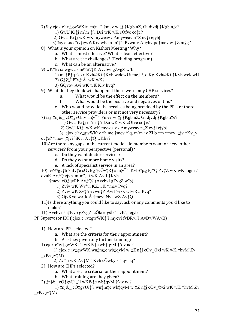7) ïay cjøx c iv t gwWKiv  $m/v^{-1}$  t mev w t j t Kgb n Z, Gi djvdj t Kgb n t e?

1) GwU Ki‡j m`m<sup>-</sup>†`i Dei wK wK cÖfve co‡e?

2) GwU Ki‡j wK wK myweav / Amyweav n‡Z cv‡i ejyb

3) ïay cjøx c'ivtgwWKiv wK m'm't'i Pvwn'v Abyhvqx tmev w'tZ myg?

- 8) What is your opinion on Kishori Meeting? Why?
	- a. What is most effective? What is least effective?
	- b. What are the challenges? (Excluding program)
	- c. What can be an alternative?
- 9) wK $\ddagger$ kvix wgwUs m¤ú© $\ddagger$ K Avcbvi gZvgZ w`b
	- 1) metPtq tekx Kvh©Ki tKvb welqwU/metPtq Kg Kvh©Ki tKvb welqwU
	- 2) G $\ddagger$ y $\ddagger$ Î P v $\ddagger$ j $\ddot{A}$  wK wK?
	- 3) GQvov Avi wK wK Kiv hvq?
- 9) What do they think will happen if there were only CHP services?
	- What would be the effect on the members?  $a<sub>1</sub>$
	- What would be the positive and negatives of this?  $<sub>b</sub>$ .</sub>
	- c. Who would provide the services being provided by the PP, are there other service providers or is it not very necessary?
- 7) ïay  $\sharp$ nj& cÖ $\sharp$ gvUiiv m|v<sup>--</sup> †mev w` $\sharp$ j †Kgb nZ, Gi djvdj †Kgb n $\sharp$ e?
	- 1) GwU Kitj m'm t'i Dei wK wK cÖfve cote?
	- 2) GwU Kitj wK wK myweav / Amyweav ntZ cvti ejybl
- 3) cjøx c ivtgwWKiv th me tmev t q, m m iv ZLb tm tmev tiv tKv v cvte? † mev tivi `iKvi AvtQ wKbv?

10) Are there any gaps in the current model, do members want or need other services? From your perspective (personal)?

- c. Do they want doctor services?
- d. Do they want more home visits?
- e. A lack of specialist service in an area?

10) eZ©gv‡b †hfv‡e cÖvBg †cÖv‡R†± m¦v<sup>----</sup> Kvh©µg Pj‡Q Zv‡Z wK wK mgm<sup>-/</sup> dvuK  $Av\ddagger Q$  ejyb $|m\ddagger\rangle$ i wK AviI  $\ddagger$ Kvb

 $\frac{1}{2}$ mevi c $\ddot{O}$  $\frac{1}{4}$ qvRb Av $\frac{1}{4}Q$ ? (Avcbvi gZvgZ w`b)

- 1) Zviv wK Wv<sup>3</sup>vi KZ...K †mev Pvq?
- 2) Zviv wK Zv:'i evwo: Z Avil † ekx wfwRU Pvq?
- 3) GjvKvq we‡klÁ †mevi NvUwZ Av‡Q
- 11) Is there anything you could like to say, ask or any comments you'd like to make?
- 11) Avcbvi †h‡Kvb gZvgZ, cÖkœ, gšĺe vK‡i ejvbl

PP Supervisor IDI (cjøx c'ivtewWKt'i mycvi fvBRvi'i AvBwWAvB)

1) How are PPs selected?

- a. What are the criteria for their appointment?
- b. Are they given any further training?
- 1) cjøx c ivtgwWKt i wKfvte wbtqvM t qv nq?
- 1) cjøx c ivtgwWK wntmte wbtqvM w tZ ntj cÖv ©xi wK wK thvM Zv vKv jvtM?
	- $2) Zv^*$ i wK Av $\sharp M \dagger$ Kvb cÖwkÿb  $\dagger$ `qv nq?
- 2) How are CHPs selected?
	- a. What are the criteria for their appointment?
	- b. What training are they given?
- 2)  $\uparrow$ nj& cÖ $\uparrow$ gvUi $\uparrow$ 'i wKfv $\uparrow$ e wb $\uparrow$ qvM $\uparrow$ 'qv nq?

1)  $\text{tnj}\&\text{cÖtgvU}$ i $\ddot{\text{t}}$ i wn $\text{tmt}$ e wb $\text{tvM}$  w  $\text{tZ}$  ntj  $\text{cÖ}$ v  $\text{O}x$ i wK wK  $\text{thvM}$  $\text{Zv}$ vKv jvtM?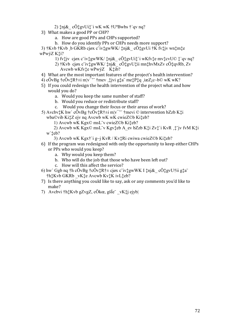- 2)  $\uparrow$ nj& cÖ $\uparrow$ gvUi $\uparrow$ 'i wK wK  $\uparrow$ U<sup>a</sup>Bwbs  $\uparrow$ 'qv nq?
- 3) What makes a good PP or CHP?
	- a. How are good PPs and CHPs supported?
	- b. How do you identify PPs or CHPs needs more support?

3) †Kvb †Kvb b GKRb cjøx c ivtgwWK/tnj& cÖtgvUi †K fvtjv wntmte wPwýZ Kti?

- 1) fvtjv cjøx c ivtgwWK/tnj& cÖtgvUit i wKfvte mvtcvU© t qv nq?
- 2) †Kvb cjøx c ivtgwWK/ tnj& cÖtgvUtii mnthvMxZv cÖtqvRb, Zv Avcwb wKfvte wPwýZ Ktib?
- 4) What are the most important features of the project's health intervention?
- 4) cOvBg  $\uparrow$ cOv $\downarrow$ R $\uparrow \pm$ i m $\downarrow$ v<sup>--</sup>  $\uparrow$ mev  $\downarrow \downarrow$ jvi g $\downarrow$ a me $\uparrow$ P $\downarrow$ q  $\downarrow$ iæZ $\downarrow$ c $\sim$ b© wK wK?
- 5) If you could redesign the health intervention of the project what and how would you do?
	- a. Would you keep the same number of staff?
	- b. Would you reduce or redistribute staff?
	- c. Would you change their focus or their areas of work?
- 5) Avcbv $\sharp$ K hw' cÖvBg  $\sharp$ cÖv $\sharp$ R $\sharp$ ±i m $\sharp$ v<sup>--</sup>  $\sharp$ mevi © intervention bZzb K $\sharp$ i wba©vib Ki $\ddagger$ Z ejv ng Avcwb wK wK cwieZ©b Ki $\ddagger$ eb?
	- 1) Avcwb wK Kgx© msL v cwieZ©b Ki‡eb?
	- 2) Avcwb wK Kgx© msL v Kgvteb A ev bZzb Kti Zvt i KvR t jv fvM Kti w'teb?
		- 3) Avcwb wK Kgx†`i g~j KvR / Kv $\ddagger$ Ri cwiwa cwieZ©b Ki $\ddagger$ eb?
- 6) If the program was redesigned with only the opportunity to keep either CHPs or PPs who would you keep?
	- a. Why would you keep them?
	- b. Who will do the job that those who have been left out?
	- c. How will this affect the service?
- 6) hw' Ggb nq †h c $\ddot{O}vBg$  †c $\ddot{O}v\ddagger R$ †± cjøx c $\ddot{v}\ddagger gwWK$  I  $\ddagger$ nj $\&$  c $\ddot{O}\ddagger gvU\ddagger$ ii g $\ddagger a\ddagger$ †h‡Kvb GKRb vK‡e Avcwb Kv‡K ivL‡eb?
- 7) Is there anything you could like to say, ask or any comments you'd like to make?
- 7) Avcbvi † httKvb gZvgZ, cÖkœ, gšĺe vKti ejybl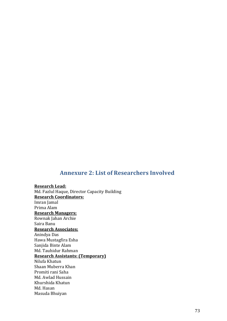## **Annexure 2: List of Researchers Involved**

**Research Lead:**  Md. Fazlul Haque, Director Capacity Building **Research Coordinators:**  Imran Jamal Prima Alam **Research Managers:**  Rownak Jahan Archie Saira Banu **Research Associates:**  Anindya Das Hawa Mustagfira Esha Sanjida Binte Alam Md. Tauhidur Rahman **Research Assistants: (Temporary)**  Nilufa Khatun Shaan Muberra Khan Promiti rani Saha Md. Awlad Hussain Khurshida Khatun Md. Hasan Masuda Bhuiyan